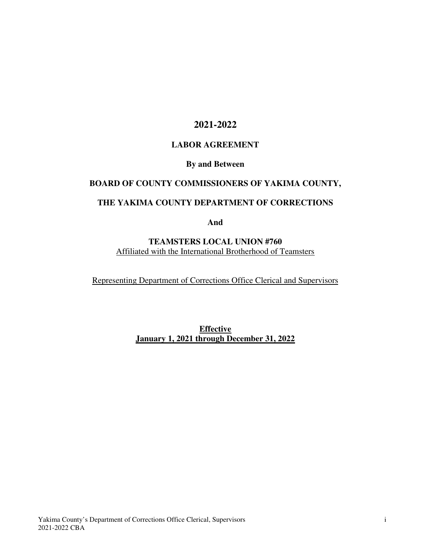## **2021-2022**

### **LABOR AGREEMENT**

#### **By and Between**

## **BOARD OF COUNTY COMMISSIONERS OF YAKIMA COUNTY,**

## **THE YAKIMA COUNTY DEPARTMENT OF CORRECTIONS**

**And** 

### **TEAMSTERS LOCAL UNION #760**  Affiliated with the International Brotherhood of Teamsters

Representing Department of Corrections Office Clerical and Supervisors

**Effective January 1, 2021 through December 31, 2022**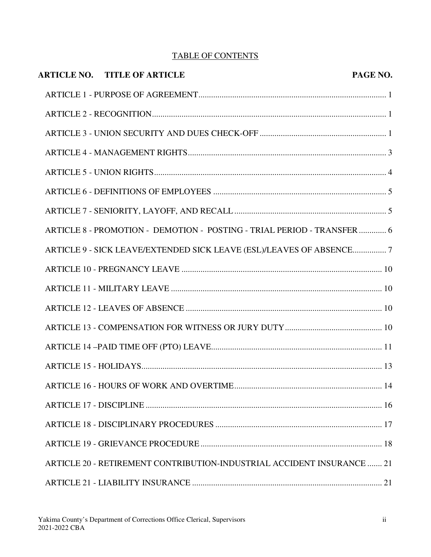# TABLE OF CONTENTS

| <b>ARTICLE NO. TITLE OF ARTICLE</b>                                     | PAGE NO. |
|-------------------------------------------------------------------------|----------|
|                                                                         |          |
|                                                                         |          |
|                                                                         |          |
|                                                                         |          |
|                                                                         |          |
|                                                                         |          |
|                                                                         |          |
| ARTICLE 8 - PROMOTION - DEMOTION - POSTING - TRIAL PERIOD - TRANSFER  6 |          |
| ARTICLE 9 - SICK LEAVE/EXTENDED SICK LEAVE (ESL)/LEAVES OF ABSENCE7     |          |
|                                                                         |          |
|                                                                         |          |
|                                                                         |          |
|                                                                         |          |
|                                                                         |          |
|                                                                         |          |
|                                                                         | 14       |
|                                                                         |          |
|                                                                         |          |
|                                                                         |          |
| ARTICLE 20 - RETIREMENT CONTRIBUTION-INDUSTRIAL ACCIDENT INSURANCE  21  |          |
|                                                                         |          |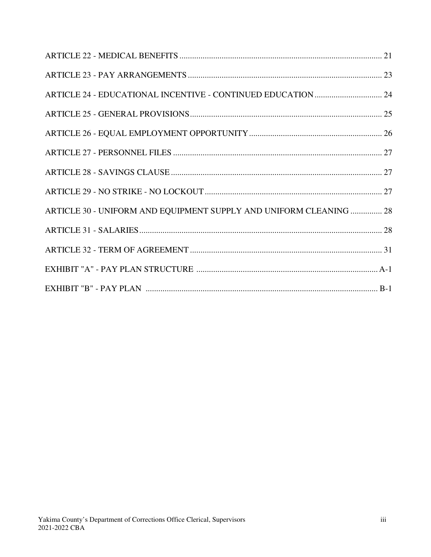| ARTICLE 30 - UNIFORM AND EQUIPMENT SUPPLY AND UNIFORM CLEANING  28 |  |
|--------------------------------------------------------------------|--|
|                                                                    |  |
|                                                                    |  |
|                                                                    |  |
|                                                                    |  |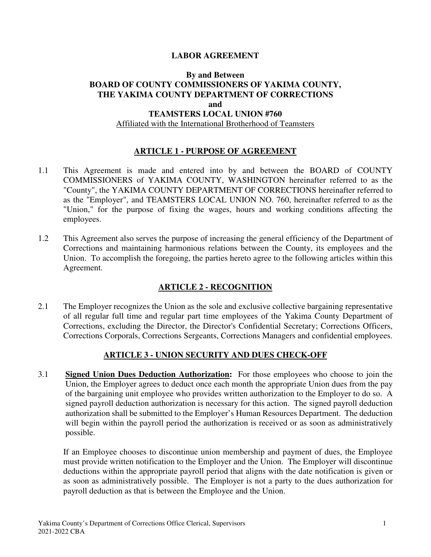#### **LABOR AGREEMENT**

#### **By and Between BOARD OF COUNTY COMMISSIONERS OF YAKIMA COUNTY, THE YAKIMA COUNTY DEPARTMENT OF CORRECTIONS and TEAMSTERS LOCAL UNION #760**

#### Affiliated with the International Brotherhood of Teamsters

#### **ARTICLE 1 - PURPOSE OF AGREEMENT**

- 1.1 This Agreement is made and entered into by and between the BOARD of COUNTY COMMISSIONERS of YAKIMA COUNTY, WASHINGTON hereinafter referred to as the "County", the YAKIMA COUNTY DEPARTMENT OF CORRECTIONS hereinafter referred to as the "Employer", and TEAMSTERS LOCAL UNION NO. 760, hereinafter referred to as the "Union," for the purpose of fixing the wages, hours and working conditions affecting the employees.
- 1.2 This Agreement also serves the purpose of increasing the general efficiency of the Department of Corrections and maintaining harmonious relations between the County, its employees and the Union. To accomplish the foregoing, the parties hereto agree to the following articles within this Agreement.

#### **ARTICLE 2 - RECOGNITION**

2.1 The Employer recognizes the Union as the sole and exclusive collective bargaining representative of all regular full time and regular part time employees of the Yakima County Department of Corrections, excluding the Director, the Director's Confidential Secretary; Corrections Officers, Corrections Corporals, Corrections Sergeants, Corrections Managers and confidential employees.

#### **ARTICLE 3 - UNION SECURITY AND DUES CHECK-OFF**

3.1 **Signed Union Dues Deduction Authorization:** For those employees who choose to join the Union, the Employer agrees to deduct once each month the appropriate Union dues from the pay of the bargaining unit employee who provides written authorization to the Employer to do so. A signed payroll deduction authorization is necessary for this action. The signed payroll deduction authorization shall be submitted to the Employer's Human Resources Department. The deduction will begin within the payroll period the authorization is received or as soon as administratively possible.

If an Employee chooses to discontinue union membership and payment of dues, the Employee must provide written notification to the Employer and the Union. The Employer will discontinue deductions within the appropriate payroll period that aligns with the date notification is given or as soon as administratively possible. The Employer is not a party to the dues authorization for payroll deduction as that is between the Employee and the Union.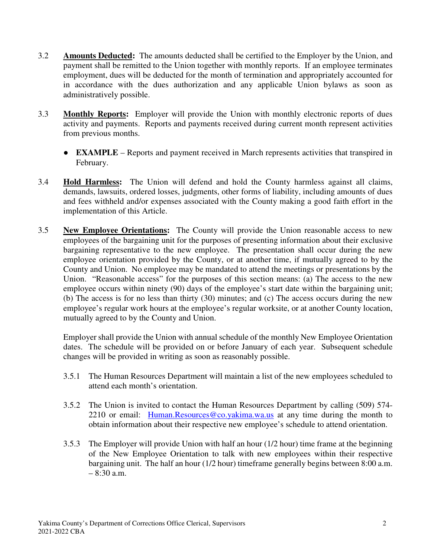- 3.2 **Amounts Deducted:** The amounts deducted shall be certified to the Employer by the Union, and payment shall be remitted to the Union together with monthly reports. If an employee terminates employment, dues will be deducted for the month of termination and appropriately accounted for in accordance with the dues authorization and any applicable Union bylaws as soon as administratively possible.
- 3.3 **Monthly Reports:** Employer will provide the Union with monthly electronic reports of dues activity and payments. Reports and payments received during current month represent activities from previous months.
	- **EXAMPLE** Reports and payment received in March represents activities that transpired in February.
- 3.4 **Hold Harmless:** The Union will defend and hold the County harmless against all claims, demands, lawsuits, ordered losses, judgments, other forms of liability, including amounts of dues and fees withheld and/or expenses associated with the County making a good faith effort in the implementation of this Article.
- 3.5 **New Employee Orientations:** The County will provide the Union reasonable access to new employees of the bargaining unit for the purposes of presenting information about their exclusive bargaining representative to the new employee. The presentation shall occur during the new employee orientation provided by the County, or at another time, if mutually agreed to by the County and Union. No employee may be mandated to attend the meetings or presentations by the Union. "Reasonable access" for the purposes of this section means: (a) The access to the new employee occurs within ninety (90) days of the employee's start date within the bargaining unit; (b) The access is for no less than thirty (30) minutes; and (c) The access occurs during the new employee's regular work hours at the employee's regular worksite, or at another County location, mutually agreed to by the County and Union.

Employer shall provide the Union with annual schedule of the monthly New Employee Orientation dates. The schedule will be provided on or before January of each year. Subsequent schedule changes will be provided in writing as soon as reasonably possible.

- 3.5.1 The Human Resources Department will maintain a list of the new employees scheduled to attend each month's orientation.
- 3.5.2 The Union is invited to contact the Human Resources Department by calling (509) 574- 2210 or email: Human.Resources@co.yakima.wa.us at any time during the month to obtain information about their respective new employee's schedule to attend orientation.
- 3.5.3 The Employer will provide Union with half an hour (1/2 hour) time frame at the beginning of the New Employee Orientation to talk with new employees within their respective bargaining unit. The half an hour (1/2 hour) timeframe generally begins between 8:00 a.m. – 8:30 a.m.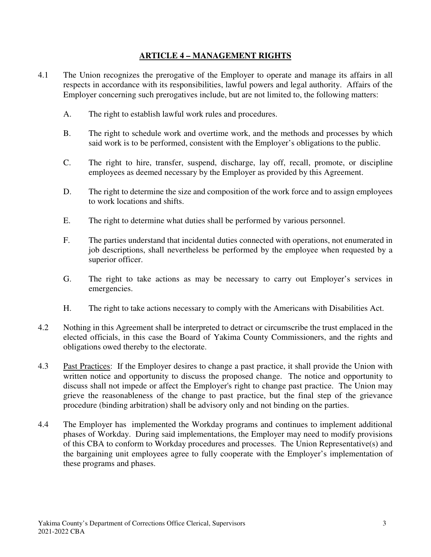### **ARTICLE 4 – MANAGEMENT RIGHTS**

- 4.1 The Union recognizes the prerogative of the Employer to operate and manage its affairs in all respects in accordance with its responsibilities, lawful powers and legal authority. Affairs of the Employer concerning such prerogatives include, but are not limited to, the following matters:
	- A. The right to establish lawful work rules and procedures.
	- B. The right to schedule work and overtime work, and the methods and processes by which said work is to be performed, consistent with the Employer's obligations to the public.
	- C. The right to hire, transfer, suspend, discharge, lay off, recall, promote, or discipline employees as deemed necessary by the Employer as provided by this Agreement.
	- D. The right to determine the size and composition of the work force and to assign employees to work locations and shifts.
	- E. The right to determine what duties shall be performed by various personnel.
	- F. The parties understand that incidental duties connected with operations, not enumerated in job descriptions, shall nevertheless be performed by the employee when requested by a superior officer.
	- G. The right to take actions as may be necessary to carry out Employer's services in emergencies.
	- H. The right to take actions necessary to comply with the Americans with Disabilities Act.
- 4.2 Nothing in this Agreement shall be interpreted to detract or circumscribe the trust emplaced in the elected officials, in this case the Board of Yakima County Commissioners, and the rights and obligations owed thereby to the electorate.
- 4.3 Past Practices: If the Employer desires to change a past practice, it shall provide the Union with written notice and opportunity to discuss the proposed change. The notice and opportunity to discuss shall not impede or affect the Employer's right to change past practice. The Union may grieve the reasonableness of the change to past practice, but the final step of the grievance procedure (binding arbitration) shall be advisory only and not binding on the parties.
- 4.4 The Employer has implemented the Workday programs and continues to implement additional phases of Workday. During said implementations, the Employer may need to modify provisions of this CBA to conform to Workday procedures and processes. The Union Representative(s) and the bargaining unit employees agree to fully cooperate with the Employer's implementation of these programs and phases.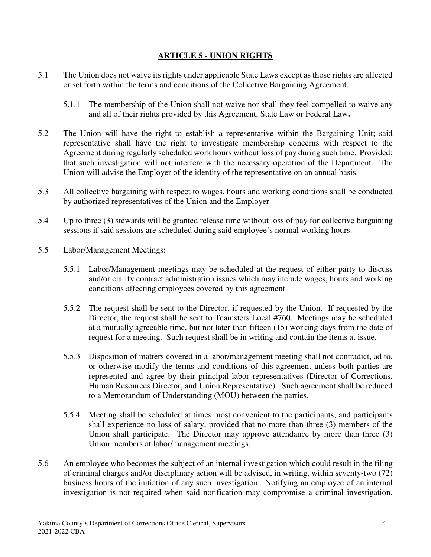### **ARTICLE 5 - UNION RIGHTS**

- 5.1 The Union does not waive its rights under applicable State Laws except as those rights are affected or set forth within the terms and conditions of the Collective Bargaining Agreement.
	- 5.1.1 The membership of the Union shall not waive nor shall they feel compelled to waive any and all of their rights provided by this Agreement, State Law or Federal Law**.**
- 5.2 The Union will have the right to establish a representative within the Bargaining Unit; said representative shall have the right to investigate membership concerns with respect to the Agreement during regularly scheduled work hours without loss of pay during such time. Provided: that such investigation will not interfere with the necessary operation of the Department. The Union will advise the Employer of the identity of the representative on an annual basis.
- 5.3 All collective bargaining with respect to wages, hours and working conditions shall be conducted by authorized representatives of the Union and the Employer.
- 5.4 Up to three (3) stewards will be granted release time without loss of pay for collective bargaining sessions if said sessions are scheduled during said employee's normal working hours.
- 5.5 Labor/Management Meetings:
	- 5.5.1 Labor/Management meetings may be scheduled at the request of either party to discuss and/or clarify contract administration issues which may include wages, hours and working conditions affecting employees covered by this agreement.
	- 5.5.2 The request shall be sent to the Director, if requested by the Union. If requested by the Director, the request shall be sent to Teamsters Local #760. Meetings may be scheduled at a mutually agreeable time, but not later than fifteen (15) working days from the date of request for a meeting. Such request shall be in writing and contain the items at issue.
	- 5.5.3 Disposition of matters covered in a labor/management meeting shall not contradict, ad to, or otherwise modify the terms and conditions of this agreement unless both parties are represented and agree by their principal labor representatives (Director of Corrections, Human Resources Director, and Union Representative). Such agreement shall be reduced to a Memorandum of Understanding (MOU) between the parties.
	- 5.5.4 Meeting shall be scheduled at times most convenient to the participants, and participants shall experience no loss of salary, provided that no more than three (3) members of the Union shall participate. The Director may approve attendance by more than three (3) Union members at labor/management meetings.
- 5.6 An employee who becomes the subject of an internal investigation which could result in the filing of criminal charges and/or disciplinary action will be advised, in writing, within seventy-two (72) business hours of the initiation of any such investigation. Notifying an employee of an internal investigation is not required when said notification may compromise a criminal investigation.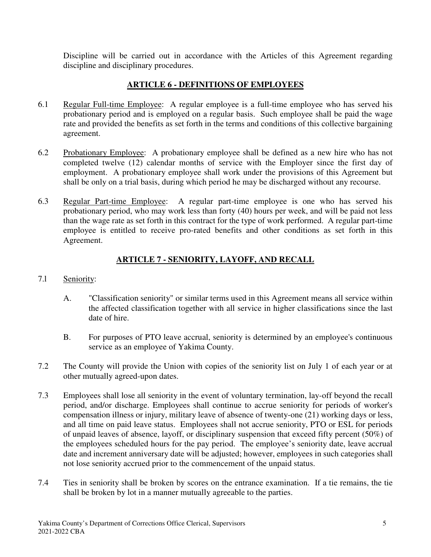Discipline will be carried out in accordance with the Articles of this Agreement regarding discipline and disciplinary procedures.

### **ARTICLE 6 - DEFINITIONS OF EMPLOYEES**

- 6.1 Regular Full-time Employee: A regular employee is a full-time employee who has served his probationary period and is employed on a regular basis. Such employee shall be paid the wage rate and provided the benefits as set forth in the terms and conditions of this collective bargaining agreement.
- 6.2 Probationary Employee: A probationary employee shall be defined as a new hire who has not completed twelve (12) calendar months of service with the Employer since the first day of employment. A probationary employee shall work under the provisions of this Agreement but shall be only on a trial basis, during which period he may be discharged without any recourse.
- 6.3 Regular Part-time Employee: A regular part-time employee is one who has served his probationary period, who may work less than forty (40) hours per week, and will be paid not less than the wage rate as set forth in this contract for the type of work performed. A regular part-time employee is entitled to receive pro-rated benefits and other conditions as set forth in this Agreement.

## **ARTICLE 7 - SENIORITY, LAYOFF, AND RECALL**

### 7.l Seniority:

- A. "Classification seniority" or similar terms used in this Agreement means all service within the affected classification together with all service in higher classifications since the last date of hire.
- B. For purposes of PTO leave accrual, seniority is determined by an employee's continuous service as an employee of Yakima County.
- 7.2 The County will provide the Union with copies of the seniority list on July 1 of each year or at other mutually agreed-upon dates.
- 7.3 Employees shall lose all seniority in the event of voluntary termination, lay-off beyond the recall period, and/or discharge. Employees shall continue to accrue seniority for periods of worker's compensation illness or injury, military leave of absence of twenty-one (21) working days or less, and all time on paid leave status. Employees shall not accrue seniority, PTO or ESL for periods of unpaid leaves of absence, layoff, or disciplinary suspension that exceed fifty percent (50%) of the employees scheduled hours for the pay period. The employee's seniority date, leave accrual date and increment anniversary date will be adjusted; however, employees in such categories shall not lose seniority accrued prior to the commencement of the unpaid status.
- 7.4 Ties in seniority shall be broken by scores on the entrance examination. If a tie remains, the tie shall be broken by lot in a manner mutually agreeable to the parties.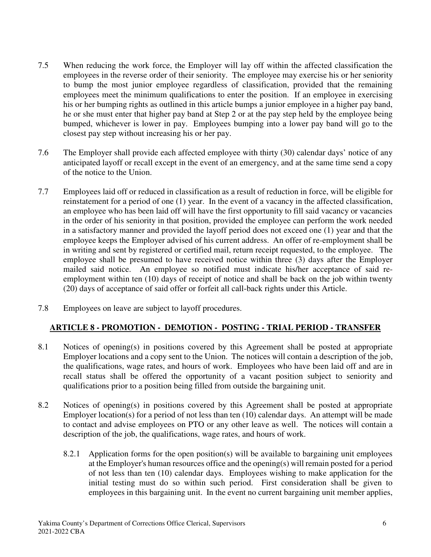- 7.5 When reducing the work force, the Employer will lay off within the affected classification the employees in the reverse order of their seniority. The employee may exercise his or her seniority to bump the most junior employee regardless of classification, provided that the remaining employees meet the minimum qualifications to enter the position. If an employee in exercising his or her bumping rights as outlined in this article bumps a junior employee in a higher pay band, he or she must enter that higher pay band at Step 2 or at the pay step held by the employee being bumped, whichever is lower in pay. Employees bumping into a lower pay band will go to the closest pay step without increasing his or her pay.
- 7.6 The Employer shall provide each affected employee with thirty (30) calendar days' notice of any anticipated layoff or recall except in the event of an emergency, and at the same time send a copy of the notice to the Union.
- 7.7 Employees laid off or reduced in classification as a result of reduction in force, will be eligible for reinstatement for a period of one (1) year. In the event of a vacancy in the affected classification, an employee who has been laid off will have the first opportunity to fill said vacancy or vacancies in the order of his seniority in that position, provided the employee can perform the work needed in a satisfactory manner and provided the layoff period does not exceed one (1) year and that the employee keeps the Employer advised of his current address. An offer of re-employment shall be in writing and sent by registered or certified mail, return receipt requested, to the employee. The employee shall be presumed to have received notice within three (3) days after the Employer mailed said notice. An employee so notified must indicate his/her acceptance of said reemployment within ten (10) days of receipt of notice and shall be back on the job within twenty (20) days of acceptance of said offer or forfeit all call-back rights under this Article.
- 7.8 Employees on leave are subject to layoff procedures.

## **ARTICLE 8 - PROMOTION - DEMOTION - POSTING - TRIAL PERIOD - TRANSFER**

- 8.1 Notices of opening(s) in positions covered by this Agreement shall be posted at appropriate Employer locations and a copy sent to the Union. The notices will contain a description of the job, the qualifications, wage rates, and hours of work. Employees who have been laid off and are in recall status shall be offered the opportunity of a vacant position subject to seniority and qualifications prior to a position being filled from outside the bargaining unit.
- 8.2 Notices of opening(s) in positions covered by this Agreement shall be posted at appropriate Employer location(s) for a period of not less than ten (10) calendar days. An attempt will be made to contact and advise employees on PTO or any other leave as well. The notices will contain a description of the job, the qualifications, wage rates, and hours of work.
	- 8.2.1 Application forms for the open position(s) will be available to bargaining unit employees at the Employer's human resources office and the opening(s) will remain posted for a period of not less than ten (10) calendar days. Employees wishing to make application for the initial testing must do so within such period. First consideration shall be given to employees in this bargaining unit. In the event no current bargaining unit member applies,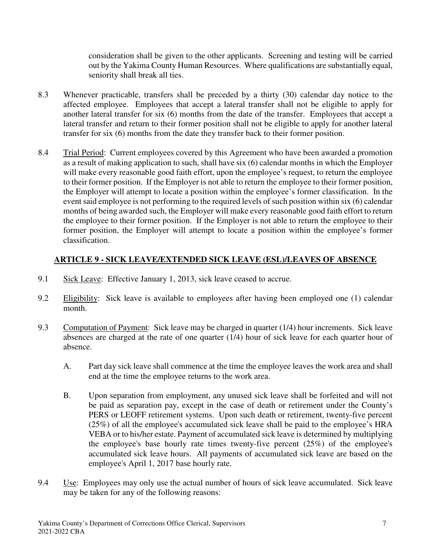consideration shall be given to the other applicants. Screening and testing will be carried out by the Yakima County Human Resources. Where qualifications are substantially equal, seniority shall break all ties.

- 8.3 Whenever practicable, transfers shall be preceded by a thirty (30) calendar day notice to the affected employee. Employees that accept a lateral transfer shall not be eligible to apply for another lateral transfer for six (6) months from the date of the transfer. Employees that accept a lateral transfer and return to their former position shall not be eligible to apply for another lateral transfer for six (6) months from the date they transfer back to their former position.
- 8.4 Trial Period: Current employees covered by this Agreement who have been awarded a promotion as a result of making application to such, shall have six (6) calendar months in which the Employer will make every reasonable good faith effort, upon the employee's request, to return the employee to their former position. If the Employer is not able to return the employee to their former position, the Employer will attempt to locate a position within the employee's former classification. In the event said employee is not performing to the required levels of such position within six (6) calendar months of being awarded such, the Employer will make every reasonable good faith effort to return the employee to their former position. If the Employer is not able to return the employee to their former position, the Employer will attempt to locate a position within the employee's former classification.

### **ARTICLE 9 - SICK LEAVE/EXTENDED SICK LEAVE (ESL)/LEAVES OF ABSENCE**

- 9.1 Sick Leave: Effective January 1, 2013, sick leave ceased to accrue.
- 9.2 Eligibility: Sick leave is available to employees after having been employed one (1) calendar month.
- 9.3 Computation of Payment: Sick leave may be charged in quarter (1/4) hour increments. Sick leave absences are charged at the rate of one quarter (1/4) hour of sick leave for each quarter hour of absence.
	- A. Part day sick leave shall commence at the time the employee leaves the work area and shall end at the time the employee returns to the work area.
	- B. Upon separation from employment, any unused sick leave shall be forfeited and will not be paid as separation pay, except in the case of death or retirement under the County's PERS or LEOFF retirement systems. Upon such death or retirement, twenty-five percent (25%) of all the employee's accumulated sick leave shall be paid to the employee's HRA VEBA or to his/her estate. Payment of accumulated sick leave is determined by multiplying the employee's base hourly rate times twenty-five percent (25%) of the employee's accumulated sick leave hours. All payments of accumulated sick leave are based on the employee's April 1, 2017 base hourly rate.
- 9.4 Use: Employees may only use the actual number of hours of sick leave accumulated. Sick leave may be taken for any of the following reasons: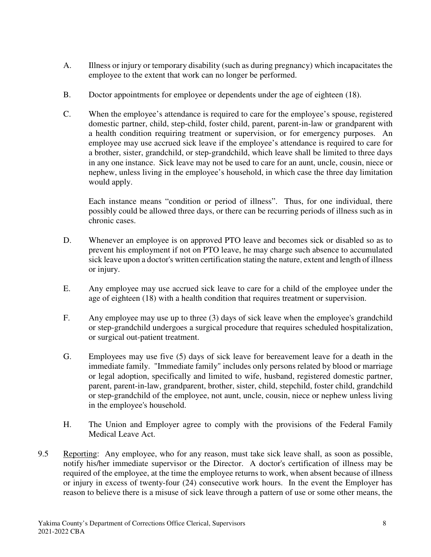- A. Illness or injury or temporary disability (such as during pregnancy) which incapacitates the employee to the extent that work can no longer be performed.
- B. Doctor appointments for employee or dependents under the age of eighteen (18).
- C. When the employee's attendance is required to care for the employee's spouse, registered domestic partner, child, step-child, foster child, parent, parent-in-law or grandparent with a health condition requiring treatment or supervision, or for emergency purposes. An employee may use accrued sick leave if the employee's attendance is required to care for a brother, sister, grandchild, or step-grandchild, which leave shall be limited to three days in any one instance. Sick leave may not be used to care for an aunt, uncle, cousin, niece or nephew, unless living in the employee's household, in which case the three day limitation would apply.

Each instance means "condition or period of illness". Thus, for one individual, there possibly could be allowed three days, or there can be recurring periods of illness such as in chronic cases.

- D. Whenever an employee is on approved PTO leave and becomes sick or disabled so as to prevent his employment if not on PTO leave, he may charge such absence to accumulated sick leave upon a doctor's written certification stating the nature, extent and length of illness or injury.
- E. Any employee may use accrued sick leave to care for a child of the employee under the age of eighteen (18) with a health condition that requires treatment or supervision.
- F. Any employee may use up to three (3) days of sick leave when the employee's grandchild or step-grandchild undergoes a surgical procedure that requires scheduled hospitalization, or surgical out-patient treatment.
- G. Employees may use five (5) days of sick leave for bereavement leave for a death in the immediate family. "Immediate family" includes only persons related by blood or marriage or legal adoption, specifically and limited to wife, husband, registered domestic partner, parent, parent-in-law, grandparent, brother, sister, child, stepchild, foster child, grandchild or step-grandchild of the employee, not aunt, uncle, cousin, niece or nephew unless living in the employee's household.
- H. The Union and Employer agree to comply with the provisions of the Federal Family Medical Leave Act.
- 9.5 Reporting: Any employee, who for any reason, must take sick leave shall, as soon as possible, notify his/her immediate supervisor or the Director. A doctor's certification of illness may be required of the employee, at the time the employee returns to work, when absent because of illness or injury in excess of twenty-four (24) consecutive work hours. In the event the Employer has reason to believe there is a misuse of sick leave through a pattern of use or some other means, the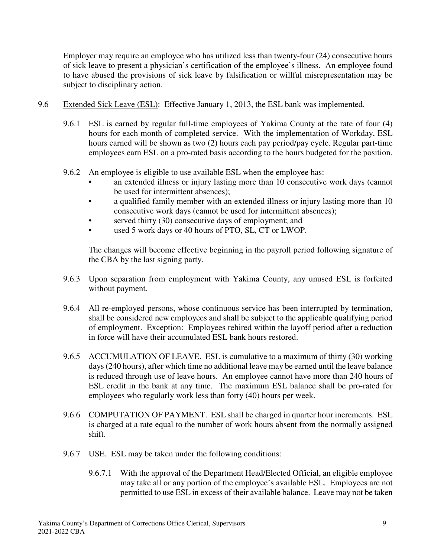Employer may require an employee who has utilized less than twenty-four (24) consecutive hours of sick leave to present a physician's certification of the employee's illness. An employee found to have abused the provisions of sick leave by falsification or willful misrepresentation may be subject to disciplinary action.

- 9.6 Extended Sick Leave (ESL): Effective January 1, 2013, the ESL bank was implemented.
	- 9.6.1 ESL is earned by regular full-time employees of Yakima County at the rate of four (4) hours for each month of completed service. With the implementation of Workday, ESL hours earned will be shown as two (2) hours each pay period/pay cycle. Regular part-time employees earn ESL on a pro-rated basis according to the hours budgeted for the position.
	- 9.6.2 An employee is eligible to use available ESL when the employee has:
		- an extended illness or injury lasting more than 10 consecutive work days (cannot be used for intermittent absences);
		- a qualified family member with an extended illness or injury lasting more than 10 consecutive work days (cannot be used for intermittent absences);
		- served thirty (30) consecutive days of employment; and
		- used 5 work days or 40 hours of PTO, SL, CT or LWOP.

The changes will become effective beginning in the payroll period following signature of the CBA by the last signing party.

- 9.6.3 Upon separation from employment with Yakima County, any unused ESL is forfeited without payment.
- 9.6.4 All re-employed persons, whose continuous service has been interrupted by termination, shall be considered new employees and shall be subject to the applicable qualifying period of employment. Exception: Employees rehired within the layoff period after a reduction in force will have their accumulated ESL bank hours restored.
- 9.6.5 ACCUMULATION OF LEAVE. ESL is cumulative to a maximum of thirty (30) working days (240 hours), after which time no additional leave may be earned until the leave balance is reduced through use of leave hours. An employee cannot have more than 240 hours of ESL credit in the bank at any time. The maximum ESL balance shall be pro-rated for employees who regularly work less than forty (40) hours per week.
- 9.6.6 COMPUTATION OF PAYMENT. ESL shall be charged in quarter hour increments. ESL is charged at a rate equal to the number of work hours absent from the normally assigned shift.
- 9.6.7 USE. ESL may be taken under the following conditions:
	- 9.6.7.1 With the approval of the Department Head/Elected Official, an eligible employee may take all or any portion of the employee's available ESL. Employees are not permitted to use ESL in excess of their available balance. Leave may not be taken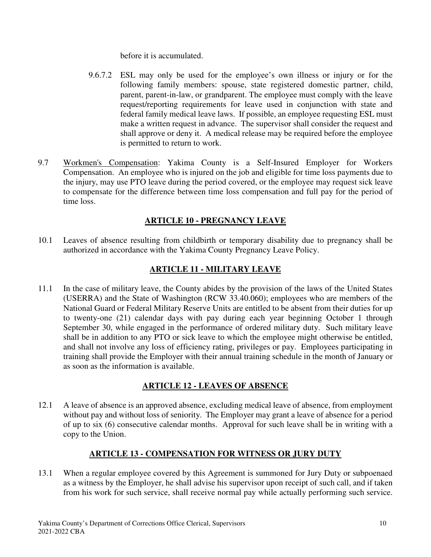before it is accumulated.

- 9.6.7.2 ESL may only be used for the employee's own illness or injury or for the following family members: spouse, state registered domestic partner, child, parent, parent-in-law, or grandparent. The employee must comply with the leave request/reporting requirements for leave used in conjunction with state and federal family medical leave laws. If possible, an employee requesting ESL must make a written request in advance. The supervisor shall consider the request and shall approve or deny it. A medical release may be required before the employee is permitted to return to work.
- 9.7 Workmen's Compensation: Yakima County is a Self-Insured Employer for Workers Compensation. An employee who is injured on the job and eligible for time loss payments due to the injury, may use PTO leave during the period covered, or the employee may request sick leave to compensate for the difference between time loss compensation and full pay for the period of time loss.

## **ARTICLE 10 - PREGNANCY LEAVE**

10.1 Leaves of absence resulting from childbirth or temporary disability due to pregnancy shall be authorized in accordance with the Yakima County Pregnancy Leave Policy.

## **ARTICLE 11 - MILITARY LEAVE**

11.1 In the case of military leave, the County abides by the provision of the laws of the United States (USERRA) and the State of Washington (RCW 33.40.060); employees who are members of the National Guard or Federal Military Reserve Units are entitled to be absent from their duties for up to twenty-one (21) calendar days with pay during each year beginning October 1 through September 30, while engaged in the performance of ordered military duty. Such military leave shall be in addition to any PTO or sick leave to which the employee might otherwise be entitled, and shall not involve any loss of efficiency rating, privileges or pay. Employees participating in training shall provide the Employer with their annual training schedule in the month of January or as soon as the information is available.

## **ARTICLE 12 - LEAVES OF ABSENCE**

12.1 A leave of absence is an approved absence, excluding medical leave of absence, from employment without pay and without loss of seniority. The Employer may grant a leave of absence for a period of up to six (6) consecutive calendar months. Approval for such leave shall be in writing with a copy to the Union.

## **ARTICLE 13 - COMPENSATION FOR WITNESS OR JURY DUTY**

13.1 When a regular employee covered by this Agreement is summoned for Jury Duty or subpoenaed as a witness by the Employer, he shall advise his supervisor upon receipt of such call, and if taken from his work for such service, shall receive normal pay while actually performing such service.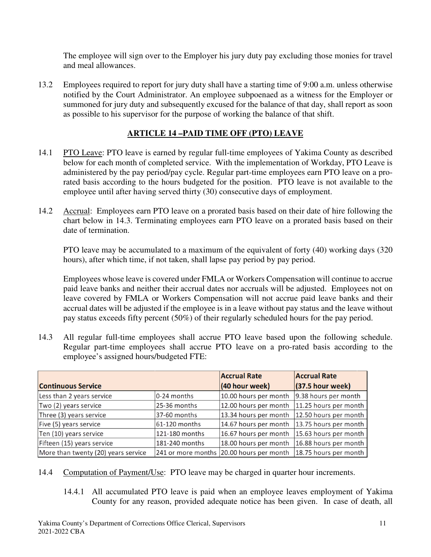The employee will sign over to the Employer his jury duty pay excluding those monies for travel and meal allowances.

13.2 Employees required to report for jury duty shall have a starting time of 9:00 a.m. unless otherwise notified by the Court Administrator. An employee subpoenaed as a witness for the Employer or summoned for jury duty and subsequently excused for the balance of that day, shall report as soon as possible to his supervisor for the purpose of working the balance of that shift.

### **ARTICLE 14 –PAID TIME OFF (PTO) LEAVE**

- 14.1 PTO Leave: PTO leave is earned by regular full-time employees of Yakima County as described below for each month of completed service. With the implementation of Workday, PTO Leave is administered by the pay period/pay cycle. Regular part-time employees earn PTO leave on a prorated basis according to the hours budgeted for the position. PTO leave is not available to the employee until after having served thirty (30) consecutive days of employment.
- 14.2 Accrual: Employees earn PTO leave on a prorated basis based on their date of hire following the chart below in 14.3. Terminating employees earn PTO leave on a prorated basis based on their date of termination.

PTO leave may be accumulated to a maximum of the equivalent of forty (40) working days (320 hours), after which time, if not taken, shall lapse pay period by pay period.

Employees whose leave is covered under FMLA or Workers Compensation will continue to accrue paid leave banks and neither their accrual dates nor accruals will be adjusted. Employees not on leave covered by FMLA or Workers Compensation will not accrue paid leave banks and their accrual dates will be adjusted if the employee is in a leave without pay status and the leave without pay status exceeds fifty percent (50%) of their regularly scheduled hours for the pay period.

14.3 All regular full-time employees shall accrue PTO leave based upon the following schedule. Regular part-time employees shall accrue PTO leave on a pro-rated basis according to the employee's assigned hours/budgeted FTE:

|                                     |                | <b>Accrual Rate</b>                      | <b>Accrual Rate</b>   |
|-------------------------------------|----------------|------------------------------------------|-----------------------|
| <b>Continuous Service</b>           |                | (40 hour week)                           | $(37.5$ hour week)    |
| Less than 2 years service           | 0-24 months    | 10.00 hours per month                    | 9.38 hours per month  |
| Two (2) years service               | 25-36 months   | 12.00 hours per month                    | 11.25 hours per month |
| Three (3) years service             | 37-60 months   | 13.34 hours per month                    | 12.50 hours per month |
| Five (5) years service              | 61-120 months  | 14.67 hours per month                    | 13.75 hours per month |
| Ten (10) years service              | 121-180 months | 16.67 hours per month                    | 15.63 hours per month |
| Fifteen (15) years service          | 181-240 months | 18.00 hours per month                    | 16.88 hours per month |
| More than twenty (20) years service |                | 241 or more months 20.00 hours per month | 18.75 hours per month |

- 14.4 Computation of Payment/Use: PTO leave may be charged in quarter hour increments.
	- 14.4.1 All accumulated PTO leave is paid when an employee leaves employment of Yakima County for any reason, provided adequate notice has been given. In case of death, all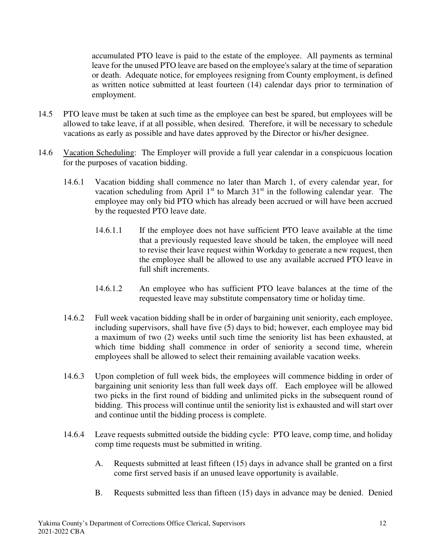accumulated PTO leave is paid to the estate of the employee. All payments as terminal leave for the unused PTO leave are based on the employee's salary at the time of separation or death. Adequate notice, for employees resigning from County employment, is defined as written notice submitted at least fourteen (14) calendar days prior to termination of employment.

- 14.5 PTO leave must be taken at such time as the employee can best be spared, but employees will be allowed to take leave, if at all possible, when desired. Therefore, it will be necessary to schedule vacations as early as possible and have dates approved by the Director or his/her designee.
- 14.6 Vacation Scheduling: The Employer will provide a full year calendar in a conspicuous location for the purposes of vacation bidding.
	- 14.6.1 Vacation bidding shall commence no later than March 1, of every calendar year, for vacation scheduling from April  $1<sup>st</sup>$  to March  $31<sup>st</sup>$  in the following calendar year. The employee may only bid PTO which has already been accrued or will have been accrued by the requested PTO leave date.
		- 14.6.1.1 If the employee does not have sufficient PTO leave available at the time that a previously requested leave should be taken, the employee will need to revise their leave request within Workday to generate a new request, then the employee shall be allowed to use any available accrued PTO leave in full shift increments.
		- 14.6.1.2 An employee who has sufficient PTO leave balances at the time of the requested leave may substitute compensatory time or holiday time.
	- 14.6.2 Full week vacation bidding shall be in order of bargaining unit seniority, each employee, including supervisors, shall have five (5) days to bid; however, each employee may bid a maximum of two (2) weeks until such time the seniority list has been exhausted, at which time bidding shall commence in order of seniority a second time, wherein employees shall be allowed to select their remaining available vacation weeks.
	- 14.6.3 Upon completion of full week bids, the employees will commence bidding in order of bargaining unit seniority less than full week days off. Each employee will be allowed two picks in the first round of bidding and unlimited picks in the subsequent round of bidding. This process will continue until the seniority list is exhausted and will start over and continue until the bidding process is complete.
	- 14.6.4 Leave requests submitted outside the bidding cycle: PTO leave, comp time, and holiday comp time requests must be submitted in writing.
		- A. Requests submitted at least fifteen (15) days in advance shall be granted on a first come first served basis if an unused leave opportunity is available.
		- B. Requests submitted less than fifteen (15) days in advance may be denied. Denied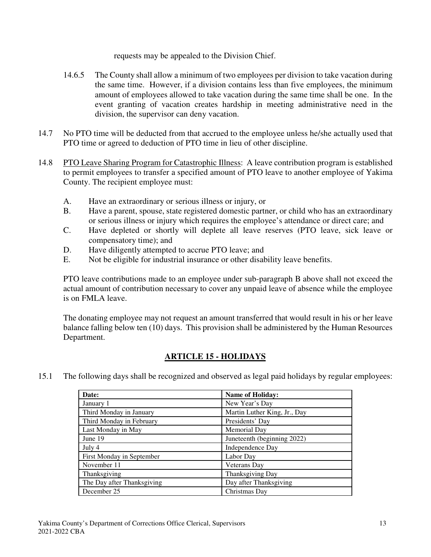requests may be appealed to the Division Chief.

- 14.6.5 The County shall allow a minimum of two employees per division to take vacation during the same time. However, if a division contains less than five employees, the minimum amount of employees allowed to take vacation during the same time shall be one. In the event granting of vacation creates hardship in meeting administrative need in the division, the supervisor can deny vacation.
- 14.7 No PTO time will be deducted from that accrued to the employee unless he/she actually used that PTO time or agreed to deduction of PTO time in lieu of other discipline.
- 14.8 PTO Leave Sharing Program for Catastrophic Illness: A leave contribution program is established to permit employees to transfer a specified amount of PTO leave to another employee of Yakima County. The recipient employee must:
	- A. Have an extraordinary or serious illness or injury, or
	- B. Have a parent, spouse, state registered domestic partner, or child who has an extraordinary or serious illness or injury which requires the employee's attendance or direct care; and
	- C. Have depleted or shortly will deplete all leave reserves (PTO leave, sick leave or compensatory time); and
	- D. Have diligently attempted to accrue PTO leave; and
	- E. Not be eligible for industrial insurance or other disability leave benefits.

PTO leave contributions made to an employee under sub-paragraph B above shall not exceed the actual amount of contribution necessary to cover any unpaid leave of absence while the employee is on FMLA leave.

The donating employee may not request an amount transferred that would result in his or her leave balance falling below ten (10) days. This provision shall be administered by the Human Resources Department.

## **ARTICLE 15 - HOLIDAYS**

15.1 The following days shall be recognized and observed as legal paid holidays by regular employees:

| Date:                      | <b>Name of Holiday:</b>      |
|----------------------------|------------------------------|
| January 1                  | New Year's Day               |
| Third Monday in January    | Martin Luther King, Jr., Day |
| Third Monday in February   | Presidents' Day              |
| Last Monday in May         | Memorial Day                 |
| June 19                    | Juneteenth (beginning 2022)  |
| July 4                     | Independence Day             |
| First Monday in September  | Labor Day                    |
| November 11                | Veterans Day                 |
| Thanksgiving               | Thanksgiving Day             |
| The Day after Thanksgiving | Day after Thanksgiving       |
| December 25                | Christmas Day                |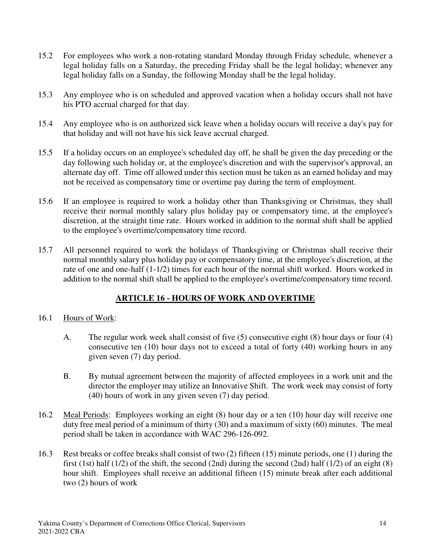- 15.2 For employees who work a non-rotating standard Monday through Friday schedule, whenever a legal holiday falls on a Saturday, the preceding Friday shall be the legal holiday; whenever any legal holiday falls on a Sunday, the following Monday shall be the legal holiday.
- 15.3 Any employee who is on scheduled and approved vacation when a holiday occurs shall not have his PTO accrual charged for that day.
- 15.4 Any employee who is on authorized sick leave when a holiday occurs will receive a day's pay for that holiday and will not have his sick leave accrual charged.
- 15.5 If a holiday occurs on an employee's scheduled day off, he shall be given the day preceding or the day following such holiday or, at the employee's discretion and with the supervisor's approval, an alternate day off. Time off allowed under this section must be taken as an earned holiday and may not be received as compensatory time or overtime pay during the term of employment.
- 15.6 If an employee is required to work a holiday other than Thanksgiving or Christmas, they shall receive their normal monthly salary plus holiday pay or compensatory time, at the employee's discretion, at the straight time rate. Hours worked in addition to the normal shift shall be applied to the employee's overtime/compensatory time record.
- 15.7 All personnel required to work the holidays of Thanksgiving or Christmas shall receive their normal monthly salary plus holiday pay or compensatory time, at the employee's discretion, at the rate of one and one-half (1-1/2) times for each hour of the normal shift worked. Hours worked in addition to the normal shift shall be applied to the employee's overtime/compensatory time record.

## **ARTICLE 16 - HOURS OF WORK AND OVERTIME**

### 16.1 Hours of Work:

- A. The regular work week shall consist of five (5) consecutive eight (8) hour days or four (4) consecutive ten (10) hour days not to exceed a total of forty (40) working hours in any given seven (7) day period.
- B. By mutual agreement between the majority of affected employees in a work unit and the director the employer may utilize an Innovative Shift. The work week may consist of forty (40) hours of work in any given seven (7) day period.
- 16.2 Meal Periods: Employees working an eight (8) hour day or a ten (10) hour day will receive one duty free meal period of a minimum of thirty (30) and a maximum of sixty (60) minutes. The meal period shall be taken in accordance with WAC 296-126-092.
- 16.3 Rest breaks or coffee breaks shall consist of two (2) fifteen (15) minute periods, one (1) during the first (1st) half (1/2) of the shift, the second (2nd) during the second (2nd) half (1/2) of an eight (8) hour shift. Employees shall receive an additional fifteen (15) minute break after each additional two (2) hours of work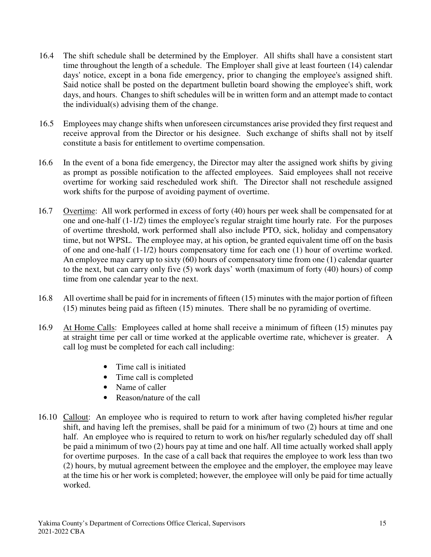- 16.4 The shift schedule shall be determined by the Employer. All shifts shall have a consistent start time throughout the length of a schedule. The Employer shall give at least fourteen (14) calendar days' notice, except in a bona fide emergency, prior to changing the employee's assigned shift. Said notice shall be posted on the department bulletin board showing the employee's shift, work days, and hours. Changes to shift schedules will be in written form and an attempt made to contact the individual(s) advising them of the change.
- 16.5 Employees may change shifts when unforeseen circumstances arise provided they first request and receive approval from the Director or his designee. Such exchange of shifts shall not by itself constitute a basis for entitlement to overtime compensation.
- 16.6 In the event of a bona fide emergency, the Director may alter the assigned work shifts by giving as prompt as possible notification to the affected employees. Said employees shall not receive overtime for working said rescheduled work shift. The Director shall not reschedule assigned work shifts for the purpose of avoiding payment of overtime.
- 16.7 Overtime: All work performed in excess of forty (40) hours per week shall be compensated for at one and one-half (1-1/2) times the employee's regular straight time hourly rate. For the purposes of overtime threshold, work performed shall also include PTO, sick, holiday and compensatory time, but not WPSL. The employee may, at his option, be granted equivalent time off on the basis of one and one-half (1-1/2) hours compensatory time for each one (1) hour of overtime worked. An employee may carry up to sixty (60) hours of compensatory time from one (1) calendar quarter to the next, but can carry only five (5) work days' worth (maximum of forty (40) hours) of comp time from one calendar year to the next.
- 16.8 All overtime shall be paid for in increments of fifteen (15) minutes with the major portion of fifteen (15) minutes being paid as fifteen (15) minutes. There shall be no pyramiding of overtime.
- 16.9 At Home Calls: Employees called at home shall receive a minimum of fifteen (15) minutes pay at straight time per call or time worked at the applicable overtime rate, whichever is greater. A call log must be completed for each call including:
	- Time call is initiated
	- Time call is completed
	- Name of caller
	- Reason/nature of the call
- 16.10 Callout: An employee who is required to return to work after having completed his/her regular shift, and having left the premises, shall be paid for a minimum of two (2) hours at time and one half. An employee who is required to return to work on his/her regularly scheduled day off shall be paid a minimum of two (2) hours pay at time and one half. All time actually worked shall apply for overtime purposes. In the case of a call back that requires the employee to work less than two (2) hours, by mutual agreement between the employee and the employer, the employee may leave at the time his or her work is completed; however, the employee will only be paid for time actually worked.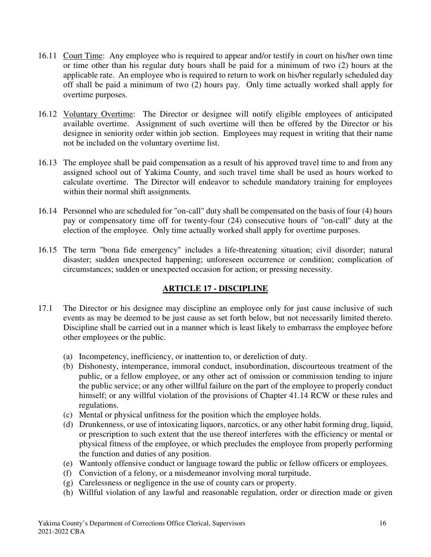- 16.11 Court Time: Any employee who is required to appear and/or testify in court on his/her own time or time other than his regular duty hours shall be paid for a minimum of two (2) hours at the applicable rate. An employee who is required to return to work on his/her regularly scheduled day off shall be paid a minimum of two (2) hours pay. Only time actually worked shall apply for overtime purposes.
- 16.12 Voluntary Overtime: The Director or designee will notify eligible employees of anticipated available overtime. Assignment of such overtime will then be offered by the Director or his designee in seniority order within job section. Employees may request in writing that their name not be included on the voluntary overtime list.
- 16.13 The employee shall be paid compensation as a result of his approved travel time to and from any assigned school out of Yakima County, and such travel time shall be used as hours worked to calculate overtime. The Director will endeavor to schedule mandatory training for employees within their normal shift assignments.
- 16.14 Personnel who are scheduled for "on-call" duty shall be compensated on the basis of four (4) hours pay or compensatory time off for twenty-four (24) consecutive hours of "on-call" duty at the election of the employee. Only time actually worked shall apply for overtime purposes.
- 16.15 The term "bona fide emergency" includes a life-threatening situation; civil disorder; natural disaster; sudden unexpected happening; unforeseen occurrence or condition; complication of circumstances; sudden or unexpected occasion for action; or pressing necessity.

## **ARTICLE 17 - DISCIPLINE**

- 17.1 The Director or his designee may discipline an employee only for just cause inclusive of such events as may be deemed to be just cause as set forth below, but not necessarily limited thereto. Discipline shall be carried out in a manner which is least likely to embarrass the employee before other employees or the public.
	- (a) Incompetency, inefficiency, or inattention to, or dereliction of duty.
	- (b) Dishonesty, intemperance, immoral conduct, insubordination, discourteous treatment of the public, or a fellow employee, or any other act of omission or commission tending to injure the public service; or any other willful failure on the part of the employee to properly conduct himself; or any willful violation of the provisions of Chapter 41.14 RCW or these rules and regulations.
	- (c) Mental or physical unfitness for the position which the employee holds.
	- (d) Drunkenness, or use of intoxicating liquors, narcotics, or any other habit forming drug, liquid, or prescription to such extent that the use thereof interferes with the efficiency or mental or physical fitness of the employee, or which precludes the employee from properly performing the function and duties of any position.
	- (e) Wantonly offensive conduct or language toward the public or fellow officers or employees.
	- (f) Conviction of a felony, or a misdemeanor involving moral turpitude.
	- (g) Carelessness or negligence in the use of county cars or property.
	- (h) Willful violation of any lawful and reasonable regulation, order or direction made or given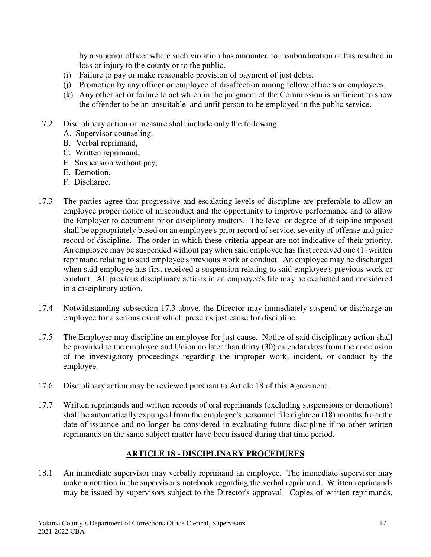by a superior officer where such violation has amounted to insubordination or has resulted in loss or injury to the county or to the public.

- (i) Failure to pay or make reasonable provision of payment of just debts.
- (j) Promotion by any officer or employee of disaffection among fellow officers or employees.
- (k) Any other act or failure to act which in the judgment of the Commission is sufficient to show the offender to be an unsuitable and unfit person to be employed in the public service.
- 17.2 Disciplinary action or measure shall include only the following:
	- A. Supervisor counseling,
	- B. Verbal reprimand,
	- C. Written reprimand,
	- E. Suspension without pay,
	- E. Demotion,
	- F. Discharge.
- 17.3 The parties agree that progressive and escalating levels of discipline are preferable to allow an employee proper notice of misconduct and the opportunity to improve performance and to allow the Employer to document prior disciplinary matters. The level or degree of discipline imposed shall be appropriately based on an employee's prior record of service, severity of offense and prior record of discipline. The order in which these criteria appear are not indicative of their priority. An employee may be suspended without pay when said employee has first received one (1) written reprimand relating to said employee's previous work or conduct. An employee may be discharged when said employee has first received a suspension relating to said employee's previous work or conduct. All previous disciplinary actions in an employee's file may be evaluated and considered in a disciplinary action.
- 17.4 Notwithstanding subsection 17.3 above, the Director may immediately suspend or discharge an employee for a serious event which presents just cause for discipline.
- 17.5 The Employer may discipline an employee for just cause. Notice of said disciplinary action shall be provided to the employee and Union no later than thirty (30) calendar days from the conclusion of the investigatory proceedings regarding the improper work, incident, or conduct by the employee.
- 17.6 Disciplinary action may be reviewed pursuant to Article 18 of this Agreement.
- 17.7 Written reprimands and written records of oral reprimands (excluding suspensions or demotions) shall be automatically expunged from the employee's personnel file eighteen (18) months from the date of issuance and no longer be considered in evaluating future discipline if no other written reprimands on the same subject matter have been issued during that time period.

### **ARTICLE 18 - DISCIPLINARY PROCEDURES**

18.1 An immediate supervisor may verbally reprimand an employee. The immediate supervisor may make a notation in the supervisor's notebook regarding the verbal reprimand. Written reprimands may be issued by supervisors subject to the Director's approval. Copies of written reprimands,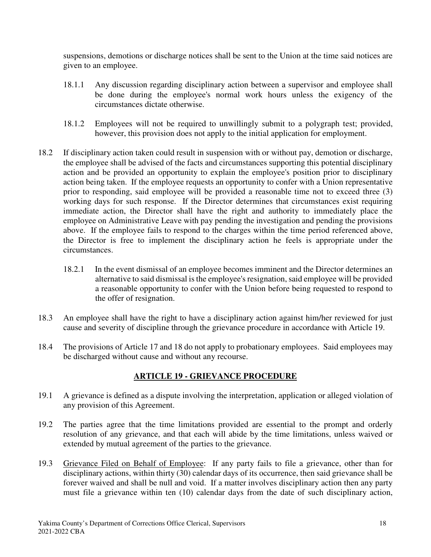suspensions, demotions or discharge notices shall be sent to the Union at the time said notices are given to an employee.

- 18.1.1 Any discussion regarding disciplinary action between a supervisor and employee shall be done during the employee's normal work hours unless the exigency of the circumstances dictate otherwise.
- 18.1.2 Employees will not be required to unwillingly submit to a polygraph test; provided, however, this provision does not apply to the initial application for employment.
- 18.2 If disciplinary action taken could result in suspension with or without pay, demotion or discharge, the employee shall be advised of the facts and circumstances supporting this potential disciplinary action and be provided an opportunity to explain the employee's position prior to disciplinary action being taken. If the employee requests an opportunity to confer with a Union representative prior to responding, said employee will be provided a reasonable time not to exceed three (3) working days for such response. If the Director determines that circumstances exist requiring immediate action, the Director shall have the right and authority to immediately place the employee on Administrative Leave with pay pending the investigation and pending the provisions above. If the employee fails to respond to the charges within the time period referenced above, the Director is free to implement the disciplinary action he feels is appropriate under the circumstances.
	- 18.2.1 In the event dismissal of an employee becomes imminent and the Director determines an alternative to said dismissal is the employee's resignation, said employee will be provided a reasonable opportunity to confer with the Union before being requested to respond to the offer of resignation.
- 18.3 An employee shall have the right to have a disciplinary action against him/her reviewed for just cause and severity of discipline through the grievance procedure in accordance with Article 19.
- 18.4 The provisions of Article 17 and 18 do not apply to probationary employees. Said employees may be discharged without cause and without any recourse.

## **ARTICLE 19 - GRIEVANCE PROCEDURE**

- 19.1 A grievance is defined as a dispute involving the interpretation, application or alleged violation of any provision of this Agreement.
- 19.2 The parties agree that the time limitations provided are essential to the prompt and orderly resolution of any grievance, and that each will abide by the time limitations, unless waived or extended by mutual agreement of the parties to the grievance.
- 19.3 Grievance Filed on Behalf of Employee: If any party fails to file a grievance, other than for disciplinary actions, within thirty (30) calendar days of its occurrence, then said grievance shall be forever waived and shall be null and void. If a matter involves disciplinary action then any party must file a grievance within ten (10) calendar days from the date of such disciplinary action,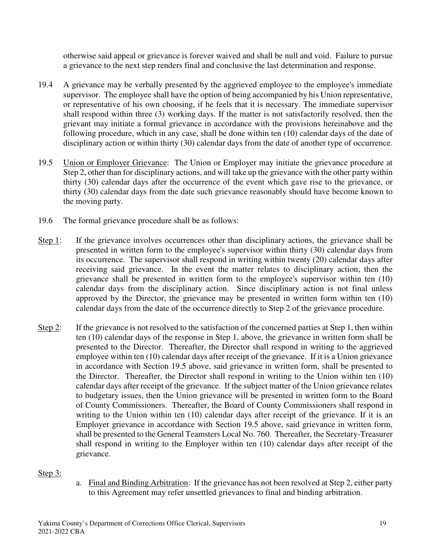otherwise said appeal or grievance is forever waived and shall be null and void. Failure to pursue a grievance to the next step renders final and conclusive the last determination and response.

- 19.4 A grievance may be verbally presented by the aggrieved employee to the employee's immediate supervisor. The employee shall have the option of being accompanied by his Union representative, or representative of his own choosing, if he feels that it is necessary. The immediate supervisor shall respond within three (3) working days. If the matter is not satisfactorily resolved, then the grievant may initiate a formal grievance in accordance with the provisions hereinabove and the following procedure, which in any case, shall be done within ten (10) calendar days of the date of disciplinary action or within thirty (30) calendar days from the date of another type of occurrence.
- 19.5 Union or Employer Grievance: The Union or Employer may initiate the grievance procedure at Step 2, other than for disciplinary actions, and will take up the grievance with the other party within thirty (30) calendar days after the occurrence of the event which gave rise to the grievance, or thirty (30) calendar days from the date such grievance reasonably should have become known to the moving party.
- 19.6 The formal grievance procedure shall be as follows:
- Step 1: If the grievance involves occurrences other than disciplinary actions, the grievance shall be presented in written form to the employee's supervisor within thirty (30) calendar days from its occurrence. The supervisor shall respond in writing within twenty (20) calendar days after receiving said grievance. In the event the matter relates to disciplinary action, then the grievance shall be presented in written form to the employee's supervisor within ten (10) calendar days from the disciplinary action. Since disciplinary action is not final unless approved by the Director, the grievance may be presented in written form within ten (10) calendar days from the date of the occurrence directly to Step 2 of the grievance procedure.
- Step 2: If the grievance is not resolved to the satisfaction of the concerned parties at Step 1, then within ten (10) calendar days of the response in Step 1, above, the grievance in written form shall be presented to the Director. Thereafter, the Director shall respond in writing to the aggrieved employee within ten (10) calendar days after receipt of the grievance. If it is a Union grievance in accordance with Section 19.5 above, said grievance in written form, shall be presented to the Director. Thereafter, the Director shall respond in writing to the Union within ten (10) calendar days after receipt of the grievance. If the subject matter of the Union grievance relates to budgetary issues, then the Union grievance will be presented in written form to the Board of County Commissioners. Thereafter, the Board of County Commissioners shall respond in writing to the Union within ten (10) calendar days after receipt of the grievance. If it is an Employer grievance in accordance with Section 19.5 above, said grievance in written form, shall be presented to the General Teamsters Local No. 760. Thereafter, the Secretary-Treasurer shall respond in writing to the Employer within ten (10) calendar days after receipt of the grievance.

#### Step 3:

a. Final and Binding Arbitration: If the grievance has not been resolved at Step 2, either party to this Agreement may refer unsettled grievances to final and binding arbitration.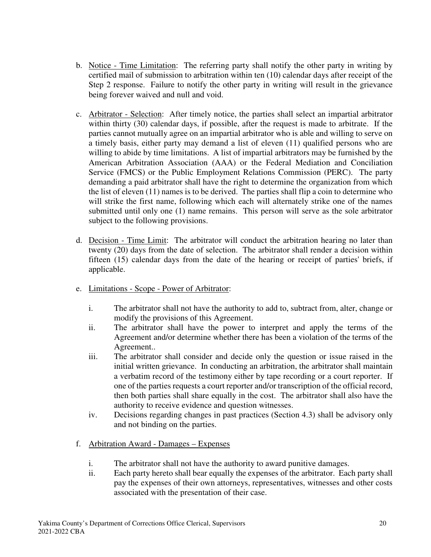- b. Notice Time Limitation: The referring party shall notify the other party in writing by certified mail of submission to arbitration within ten (10) calendar days after receipt of the Step 2 response. Failure to notify the other party in writing will result in the grievance being forever waived and null and void.
- c. Arbitrator Selection: After timely notice, the parties shall select an impartial arbitrator within thirty (30) calendar days, if possible, after the request is made to arbitrate. If the parties cannot mutually agree on an impartial arbitrator who is able and willing to serve on a timely basis, either party may demand a list of eleven (11) qualified persons who are willing to abide by time limitations. A list of impartial arbitrators may be furnished by the American Arbitration Association (AAA) or the Federal Mediation and Conciliation Service (FMCS) or the Public Employment Relations Commission (PERC). The party demanding a paid arbitrator shall have the right to determine the organization from which the list of eleven (11) names is to be derived. The parties shall flip a coin to determine who will strike the first name, following which each will alternately strike one of the names submitted until only one (1) name remains. This person will serve as the sole arbitrator subject to the following provisions.
- d. Decision Time Limit: The arbitrator will conduct the arbitration hearing no later than twenty (20) days from the date of selection. The arbitrator shall render a decision within fifteen (15) calendar days from the date of the hearing or receipt of parties' briefs, if applicable.
- e. Limitations Scope Power of Arbitrator:
	- i. The arbitrator shall not have the authority to add to, subtract from, alter, change or modify the provisions of this Agreement.
	- ii. The arbitrator shall have the power to interpret and apply the terms of the Agreement and/or determine whether there has been a violation of the terms of the Agreement..
	- iii. The arbitrator shall consider and decide only the question or issue raised in the initial written grievance. In conducting an arbitration, the arbitrator shall maintain a verbatim record of the testimony either by tape recording or a court reporter. If one of the parties requests a court reporter and/or transcription of the official record, then both parties shall share equally in the cost. The arbitrator shall also have the authority to receive evidence and question witnesses.
	- iv. Decisions regarding changes in past practices (Section 4.3) shall be advisory only and not binding on the parties.
- f. Arbitration Award Damages Expenses
	- i. The arbitrator shall not have the authority to award punitive damages.
	- ii. Each party hereto shall bear equally the expenses of the arbitrator. Each party shall pay the expenses of their own attorneys, representatives, witnesses and other costs associated with the presentation of their case.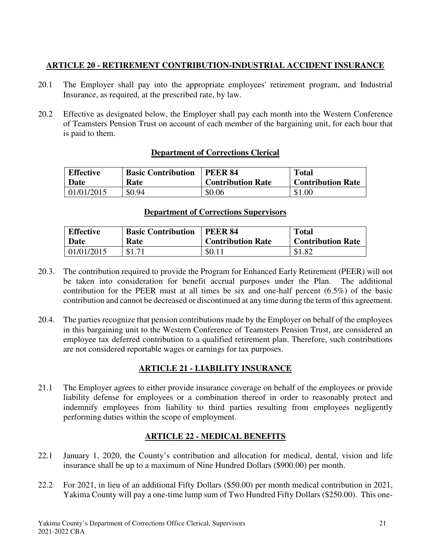## **ARTICLE 20 - RETIREMENT CONTRIBUTION-INDUSTRIAL ACCIDENT INSURANCE**

- 20.1 The Employer shall pay into the appropriate employees' retirement program, and Industrial Insurance, as required, at the prescribed rate, by law.
- 20.2 Effective as designated below, the Employer shall pay each month into the Western Conference of Teamsters Pension Trust on account of each member of the bargaining unit, for each hour that is paid to them.

### **Department of Corrections Clerical**

| <b>Effective</b> | <b>Basic Contribution</b> | <b>PEER 84</b>           | <b>Total</b>             |
|------------------|---------------------------|--------------------------|--------------------------|
| Date             | Rate                      | <b>Contribution Rate</b> | <b>Contribution Rate</b> |
| 01/01/2015       | \$0.94                    | \$0.06                   | \$1.00                   |

### **Department of Corrections Supervisors**

| <b>Effective</b> | <b>Basic Contribution</b> | <b>PEER 84</b>           | <b>Total</b>             |
|------------------|---------------------------|--------------------------|--------------------------|
| Date             | Rate                      | <b>Contribution Rate</b> | <b>Contribution Rate</b> |
| 01/01/2015       |                           | \$0.11                   | \$1.82                   |

- 20.3. The contribution required to provide the Program for Enhanced Early Retirement (PEER) will not be taken into consideration for benefit accrual purposes under the Plan. The additional contribution for the PEER must at all times be six and one-half percent (6.5%) of the basic contribution and cannot be decreased or discontinued at any time during the term of this agreement.
- 20.4. The parties recognize that pension contributions made by the Employer on behalf of the employees in this bargaining unit to the Western Conference of Teamsters Pension Trust, are considered an employee tax deferred contribution to a qualified retirement plan. Therefore, such contributions are not considered reportable wages or earnings for tax purposes.

## **ARTICLE 21 - LIABILITY INSURANCE**

21.1 The Employer agrees to either provide insurance coverage on behalf of the employees or provide liability defense for employees or a combination thereof in order to reasonably protect and indemnify employees from liability to third parties resulting from employees negligently performing duties within the scope of employment.

## **ARTICLE 22 - MEDICAL BENEFITS**

- 22.1 January 1, 2020, the County's contribution and allocation for medical, dental, vision and life insurance shall be up to a maximum of Nine Hundred Dollars (\$900.00) per month.
- 22.2 For 2021, in lieu of an additional Fifty Dollars (\$50.00) per month medical contribution in 2021, Yakima County will pay a one-time lump sum of Two Hundred Fifty Dollars (\$250.00). This one-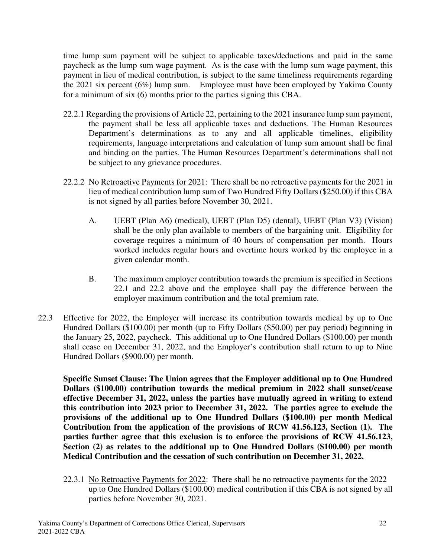time lump sum payment will be subject to applicable taxes/deductions and paid in the same paycheck as the lump sum wage payment. As is the case with the lump sum wage payment, this payment in lieu of medical contribution, is subject to the same timeliness requirements regarding the 2021 six percent (6%) lump sum. Employee must have been employed by Yakima County for a minimum of six (6) months prior to the parties signing this CBA.

- 22.2.1 Regarding the provisions of Article 22, pertaining to the 2021 insurance lump sum payment, the payment shall be less all applicable taxes and deductions. The Human Resources Department's determinations as to any and all applicable timelines, eligibility requirements, language interpretations and calculation of lump sum amount shall be final and binding on the parties. The Human Resources Department's determinations shall not be subject to any grievance procedures.
- 22.2.2 No Retroactive Payments for 2021: There shall be no retroactive payments for the 2021 in lieu of medical contribution lump sum of Two Hundred Fifty Dollars (\$250.00) if this CBA is not signed by all parties before November 30, 2021.
	- A. UEBT (Plan A6) (medical), UEBT (Plan D5) (dental), UEBT (Plan V3) (Vision) shall be the only plan available to members of the bargaining unit. Eligibility for coverage requires a minimum of 40 hours of compensation per month. Hours worked includes regular hours and overtime hours worked by the employee in a given calendar month.
	- B. The maximum employer contribution towards the premium is specified in Sections 22.1 and 22.2 above and the employee shall pay the difference between the employer maximum contribution and the total premium rate.
- 22.3 Effective for 2022, the Employer will increase its contribution towards medical by up to One Hundred Dollars (\$100.00) per month (up to Fifty Dollars (\$50.00) per pay period) beginning in the January 25, 2022, paycheck. This additional up to One Hundred Dollars (\$100.00) per month shall cease on December 31, 2022, and the Employer's contribution shall return to up to Nine Hundred Dollars (\$900.00) per month.

**Specific Sunset Clause: The Union agrees that the Employer additional up to One Hundred Dollars (\$100.00) contribution towards the medical premium in 2022 shall sunset/cease effective December 31, 2022, unless the parties have mutually agreed in writing to extend this contribution into 2023 prior to December 31, 2022. The parties agree to exclude the provisions of the additional up to One Hundred Dollars (\$100.00) per month Medical Contribution from the application of the provisions of RCW 41.56.123, Section (1). The parties further agree that this exclusion is to enforce the provisions of RCW 41.56.123, Section (2) as relates to the additional up to One Hundred Dollars (\$100.00) per month Medical Contribution and the cessation of such contribution on December 31, 2022.** 

22.3.1 No Retroactive Payments for 2022: There shall be no retroactive payments for the 2022 up to One Hundred Dollars (\$100.00) medical contribution if this CBA is not signed by all parties before November 30, 2021.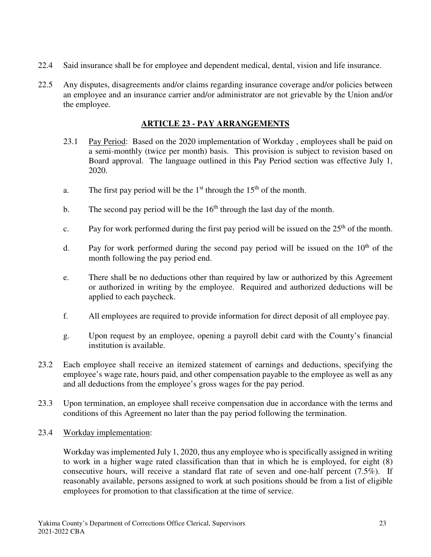- 22.4 Said insurance shall be for employee and dependent medical, dental, vision and life insurance.
- 22.5 Any disputes, disagreements and/or claims regarding insurance coverage and/or policies between an employee and an insurance carrier and/or administrator are not grievable by the Union and/or the employee.

### **ARTICLE 23 - PAY ARRANGEMENTS**

- 23.1 Pay Period: Based on the 2020 implementation of Workday , employees shall be paid on a semi-monthly (twice per month) basis. This provision is subject to revision based on Board approval. The language outlined in this Pay Period section was effective July 1, 2020.
- a. The first pay period will be the  $1<sup>st</sup>$  through the  $15<sup>th</sup>$  of the month.
- b. The second pay period will be the  $16<sup>th</sup>$  through the last day of the month.
- c. Pay for work performed during the first pay period will be issued on the  $25<sup>th</sup>$  of the month.
- d. Pay for work performed during the second pay period will be issued on the  $10<sup>th</sup>$  of the month following the pay period end.
- e. There shall be no deductions other than required by law or authorized by this Agreement or authorized in writing by the employee. Required and authorized deductions will be applied to each paycheck.
- f. All employees are required to provide information for direct deposit of all employee pay.
- g. Upon request by an employee, opening a payroll debit card with the County's financial institution is available.
- 23.2 Each employee shall receive an itemized statement of earnings and deductions, specifying the employee's wage rate, hours paid, and other compensation payable to the employee as well as any and all deductions from the employee's gross wages for the pay period.
- 23.3 Upon termination, an employee shall receive compensation due in accordance with the terms and conditions of this Agreement no later than the pay period following the termination.
- 23.4 Workday implementation:

Workday was implemented July 1, 2020, thus any employee who is specifically assigned in writing to work in a higher wage rated classification than that in which he is employed, for eight (8) consecutive hours, will receive a standard flat rate of seven and one-half percent (7.5%). If reasonably available, persons assigned to work at such positions should be from a list of eligible employees for promotion to that classification at the time of service.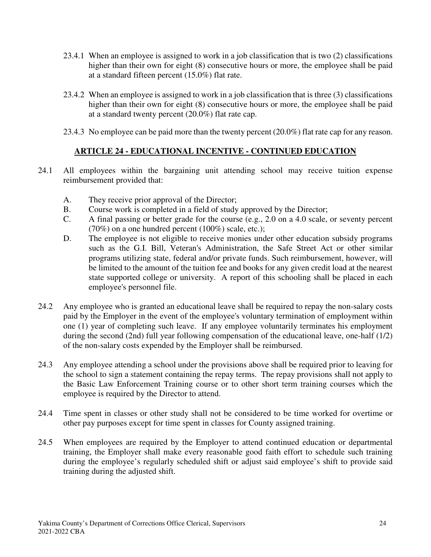- 23.4.1 When an employee is assigned to work in a job classification that is two (2) classifications higher than their own for eight (8) consecutive hours or more, the employee shall be paid at a standard fifteen percent (15.0%) flat rate.
- 23.4.2 When an employee is assigned to work in a job classification that is three (3) classifications higher than their own for eight (8) consecutive hours or more, the employee shall be paid at a standard twenty percent (20.0%) flat rate cap.
- 23.4.3 No employee can be paid more than the twenty percent (20.0%) flat rate cap for any reason.

### **ARTICLE 24 - EDUCATIONAL INCENTIVE - CONTINUED EDUCATION**

- 24.1 All employees within the bargaining unit attending school may receive tuition expense reimbursement provided that:
	- A. They receive prior approval of the Director;
	- B. Course work is completed in a field of study approved by the Director;
	- C. A final passing or better grade for the course (e.g., 2.0 on a 4.0 scale, or seventy percent  $(70\%)$  on a one hundred percent  $(100\%)$  scale, etc.);
	- D. The employee is not eligible to receive monies under other education subsidy programs such as the G.I. Bill, Veteran's Administration, the Safe Street Act or other similar programs utilizing state, federal and/or private funds. Such reimbursement, however, will be limited to the amount of the tuition fee and books for any given credit load at the nearest state supported college or university. A report of this schooling shall be placed in each employee's personnel file.
- 24.2 Any employee who is granted an educational leave shall be required to repay the non-salary costs paid by the Employer in the event of the employee's voluntary termination of employment within one (1) year of completing such leave. If any employee voluntarily terminates his employment during the second (2nd) full year following compensation of the educational leave, one-half (1/2) of the non-salary costs expended by the Employer shall be reimbursed.
- 24.3 Any employee attending a school under the provisions above shall be required prior to leaving for the school to sign a statement containing the repay terms. The repay provisions shall not apply to the Basic Law Enforcement Training course or to other short term training courses which the employee is required by the Director to attend.
- 24.4 Time spent in classes or other study shall not be considered to be time worked for overtime or other pay purposes except for time spent in classes for County assigned training.
- 24.5 When employees are required by the Employer to attend continued education or departmental training, the Employer shall make every reasonable good faith effort to schedule such training during the employee's regularly scheduled shift or adjust said employee's shift to provide said training during the adjusted shift.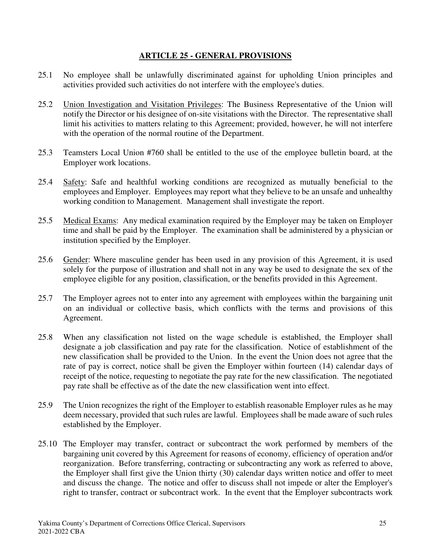#### **ARTICLE 25 - GENERAL PROVISIONS**

- 25.1 No employee shall be unlawfully discriminated against for upholding Union principles and activities provided such activities do not interfere with the employee's duties.
- 25.2 Union Investigation and Visitation Privileges: The Business Representative of the Union will notify the Director or his designee of on-site visitations with the Director. The representative shall limit his activities to matters relating to this Agreement; provided, however, he will not interfere with the operation of the normal routine of the Department.
- 25.3 Teamsters Local Union #760 shall be entitled to the use of the employee bulletin board, at the Employer work locations.
- 25.4 Safety: Safe and healthful working conditions are recognized as mutually beneficial to the employees and Employer. Employees may report what they believe to be an unsafe and unhealthy working condition to Management. Management shall investigate the report.
- 25.5 Medical Exams: Any medical examination required by the Employer may be taken on Employer time and shall be paid by the Employer. The examination shall be administered by a physician or institution specified by the Employer.
- 25.6 Gender: Where masculine gender has been used in any provision of this Agreement, it is used solely for the purpose of illustration and shall not in any way be used to designate the sex of the employee eligible for any position, classification, or the benefits provided in this Agreement.
- 25.7 The Employer agrees not to enter into any agreement with employees within the bargaining unit on an individual or collective basis, which conflicts with the terms and provisions of this Agreement.
- 25.8 When any classification not listed on the wage schedule is established, the Employer shall designate a job classification and pay rate for the classification. Notice of establishment of the new classification shall be provided to the Union. In the event the Union does not agree that the rate of pay is correct, notice shall be given the Employer within fourteen (14) calendar days of receipt of the notice, requesting to negotiate the pay rate for the new classification. The negotiated pay rate shall be effective as of the date the new classification went into effect.
- 25.9 The Union recognizes the right of the Employer to establish reasonable Employer rules as he may deem necessary, provided that such rules are lawful. Employees shall be made aware of such rules established by the Employer.
- 25.10 The Employer may transfer, contract or subcontract the work performed by members of the bargaining unit covered by this Agreement for reasons of economy, efficiency of operation and/or reorganization. Before transferring, contracting or subcontracting any work as referred to above, the Employer shall first give the Union thirty (30) calendar days written notice and offer to meet and discuss the change. The notice and offer to discuss shall not impede or alter the Employer's right to transfer, contract or subcontract work. In the event that the Employer subcontracts work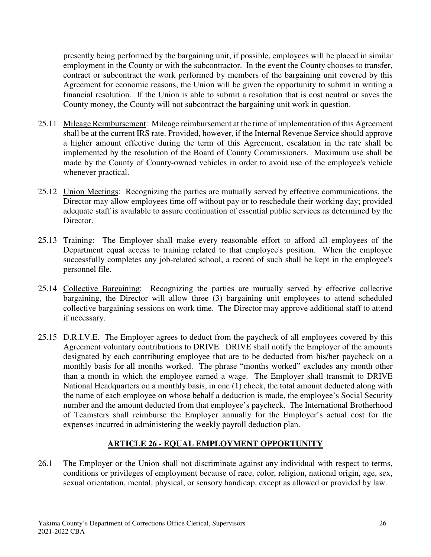presently being performed by the bargaining unit, if possible, employees will be placed in similar employment in the County or with the subcontractor. In the event the County chooses to transfer, contract or subcontract the work performed by members of the bargaining unit covered by this Agreement for economic reasons, the Union will be given the opportunity to submit in writing a financial resolution. If the Union is able to submit a resolution that is cost neutral or saves the County money, the County will not subcontract the bargaining unit work in question.

- 25.11 Mileage Reimbursement: Mileage reimbursement at the time of implementation of this Agreement shall be at the current IRS rate. Provided, however, if the Internal Revenue Service should approve a higher amount effective during the term of this Agreement, escalation in the rate shall be implemented by the resolution of the Board of County Commissioners. Maximum use shall be made by the County of County-owned vehicles in order to avoid use of the employee's vehicle whenever practical.
- 25.12 Union Meetings: Recognizing the parties are mutually served by effective communications, the Director may allow employees time off without pay or to reschedule their working day; provided adequate staff is available to assure continuation of essential public services as determined by the Director.
- 25.13 Training: The Employer shall make every reasonable effort to afford all employees of the Department equal access to training related to that employee's position. When the employee successfully completes any job-related school, a record of such shall be kept in the employee's personnel file.
- 25.14 Collective Bargaining: Recognizing the parties are mutually served by effective collective bargaining, the Director will allow three (3) bargaining unit employees to attend scheduled collective bargaining sessions on work time. The Director may approve additional staff to attend if necessary.
- 25.15 D.R.I.V.E. The Employer agrees to deduct from the paycheck of all employees covered by this Agreement voluntary contributions to DRIVE. DRIVE shall notify the Employer of the amounts designated by each contributing employee that are to be deducted from his/her paycheck on a monthly basis for all months worked. The phrase "months worked" excludes any month other than a month in which the employee earned a wage. The Employer shall transmit to DRIVE National Headquarters on a monthly basis, in one (1) check, the total amount deducted along with the name of each employee on whose behalf a deduction is made, the employee's Social Security number and the amount deducted from that employee's paycheck. The International Brotherhood of Teamsters shall reimburse the Employer annually for the Employer's actual cost for the expenses incurred in administering the weekly payroll deduction plan.

### **ARTICLE 26 - EQUAL EMPLOYMENT OPPORTUNITY**

26.1 The Employer or the Union shall not discriminate against any individual with respect to terms, conditions or privileges of employment because of race, color, religion, national origin, age, sex, sexual orientation, mental, physical, or sensory handicap, except as allowed or provided by law.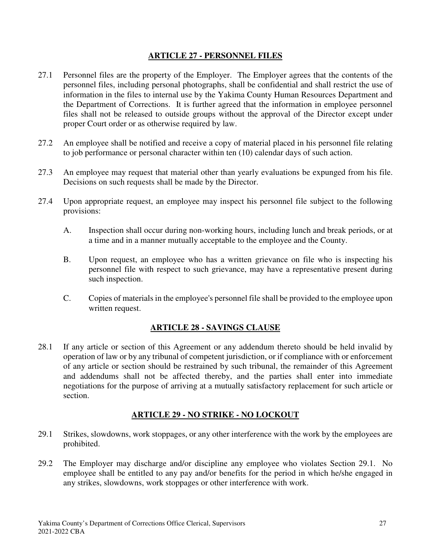#### **ARTICLE 27 - PERSONNEL FILES**

- 27.1 Personnel files are the property of the Employer. The Employer agrees that the contents of the personnel files, including personal photographs, shall be confidential and shall restrict the use of information in the files to internal use by the Yakima County Human Resources Department and the Department of Corrections. It is further agreed that the information in employee personnel files shall not be released to outside groups without the approval of the Director except under proper Court order or as otherwise required by law.
- 27.2 An employee shall be notified and receive a copy of material placed in his personnel file relating to job performance or personal character within ten (10) calendar days of such action.
- 27.3 An employee may request that material other than yearly evaluations be expunged from his file. Decisions on such requests shall be made by the Director.
- 27.4 Upon appropriate request, an employee may inspect his personnel file subject to the following provisions:
	- A. Inspection shall occur during non-working hours, including lunch and break periods, or at a time and in a manner mutually acceptable to the employee and the County.
	- B. Upon request, an employee who has a written grievance on file who is inspecting his personnel file with respect to such grievance, may have a representative present during such inspection.
	- C. Copies of materials in the employee's personnel file shall be provided to the employee upon written request.

## **ARTICLE 28 - SAVINGS CLAUSE**

28.1 If any article or section of this Agreement or any addendum thereto should be held invalid by operation of law or by any tribunal of competent jurisdiction, or if compliance with or enforcement of any article or section should be restrained by such tribunal, the remainder of this Agreement and addendums shall not be affected thereby, and the parties shall enter into immediate negotiations for the purpose of arriving at a mutually satisfactory replacement for such article or section.

### **ARTICLE 29 - NO STRIKE - NO LOCKOUT**

- 29.1 Strikes, slowdowns, work stoppages, or any other interference with the work by the employees are prohibited.
- 29.2 The Employer may discharge and/or discipline any employee who violates Section 29.1. No employee shall be entitled to any pay and/or benefits for the period in which he/she engaged in any strikes, slowdowns, work stoppages or other interference with work.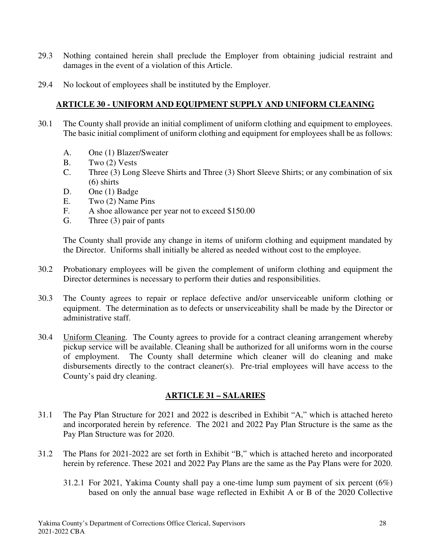- 29.3 Nothing contained herein shall preclude the Employer from obtaining judicial restraint and damages in the event of a violation of this Article.
- 29.4 No lockout of employees shall be instituted by the Employer.

### **ARTICLE 30 - UNIFORM AND EQUIPMENT SUPPLY AND UNIFORM CLEANING**

- 30.1 The County shall provide an initial compliment of uniform clothing and equipment to employees. The basic initial compliment of uniform clothing and equipment for employees shall be as follows:
	- A. One (1) Blazer/Sweater
	- B. Two (2) Vests
	- C. Three (3) Long Sleeve Shirts and Three (3) Short Sleeve Shirts; or any combination of six (6) shirts
	- D. One (1) Badge
	- E. Two (2) Name Pins
	- F. A shoe allowance per year not to exceed \$150.00
	- G. Three (3) pair of pants

The County shall provide any change in items of uniform clothing and equipment mandated by the Director. Uniforms shall initially be altered as needed without cost to the employee.

- 30.2 Probationary employees will be given the complement of uniform clothing and equipment the Director determines is necessary to perform their duties and responsibilities.
- 30.3 The County agrees to repair or replace defective and/or unserviceable uniform clothing or equipment. The determination as to defects or unserviceability shall be made by the Director or administrative staff.
- 30.4 Uniform Cleaning. The County agrees to provide for a contract cleaning arrangement whereby pickup service will be available. Cleaning shall be authorized for all uniforms worn in the course of employment. The County shall determine which cleaner will do cleaning and make disbursements directly to the contract cleaner(s). Pre-trial employees will have access to the County's paid dry cleaning.

### **ARTICLE 31 – SALARIES**

- 31.1 The Pay Plan Structure for 2021 and 2022 is described in Exhibit "A," which is attached hereto and incorporated herein by reference. The 2021 and 2022 Pay Plan Structure is the same as the Pay Plan Structure was for 2020.
- 31.2 The Plans for 2021-2022 are set forth in Exhibit "B," which is attached hereto and incorporated herein by reference. These 2021 and 2022 Pay Plans are the same as the Pay Plans were for 2020.
	- 31.2.1For 2021, Yakima County shall pay a one-time lump sum payment of six percent (6%) based on only the annual base wage reflected in Exhibit A or B of the 2020 Collective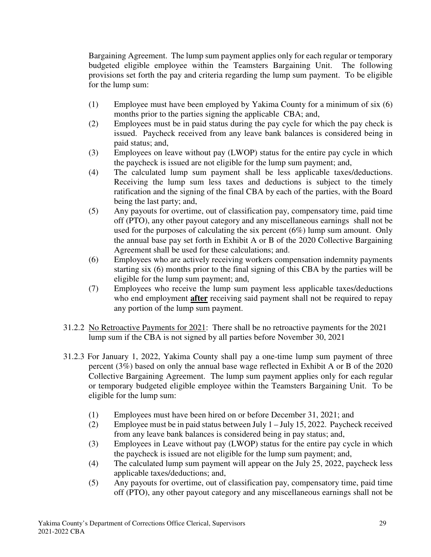Bargaining Agreement. The lump sum payment applies only for each regular or temporary budgeted eligible employee within the Teamsters Bargaining Unit. The following provisions set forth the pay and criteria regarding the lump sum payment. To be eligible for the lump sum:

- (1) Employee must have been employed by Yakima County for a minimum of six (6) months prior to the parties signing the applicable CBA; and,
- (2) Employees must be in paid status during the pay cycle for which the pay check is issued. Paycheck received from any leave bank balances is considered being in paid status; and,
- (3) Employees on leave without pay (LWOP) status for the entire pay cycle in which the paycheck is issued are not eligible for the lump sum payment; and,
- (4) The calculated lump sum payment shall be less applicable taxes/deductions. Receiving the lump sum less taxes and deductions is subject to the timely ratification and the signing of the final CBA by each of the parties, with the Board being the last party; and,
- (5) Any payouts for overtime, out of classification pay, compensatory time, paid time off (PTO), any other payout category and any miscellaneous earnings shall not be used for the purposes of calculating the six percent  $(6\%)$  lump sum amount. Only the annual base pay set forth in Exhibit A or B of the 2020 Collective Bargaining Agreement shall be used for these calculations; and.
- (6) Employees who are actively receiving workers compensation indemnity payments starting six (6) months prior to the final signing of this CBA by the parties will be eligible for the lump sum payment; and,
- (7) Employees who receive the lump sum payment less applicable taxes/deductions who end employment **after** receiving said payment shall not be required to repay any portion of the lump sum payment.
- 31.2.2 No Retroactive Payments for 2021: There shall be no retroactive payments for the 2021 lump sum if the CBA is not signed by all parties before November 30, 2021
- 31.2.3 For January 1, 2022, Yakima County shall pay a one-time lump sum payment of three percent (3%) based on only the annual base wage reflected in Exhibit A or B of the 2020 Collective Bargaining Agreement. The lump sum payment applies only for each regular or temporary budgeted eligible employee within the Teamsters Bargaining Unit. To be eligible for the lump sum:
	- (1) Employees must have been hired on or before December 31, 2021; and
	- (2) Employee must be in paid status between July 1 July 15, 2022. Paycheck received from any leave bank balances is considered being in pay status; and,
	- (3) Employees in Leave without pay (LWOP) status for the entire pay cycle in which the paycheck is issued are not eligible for the lump sum payment; and,
	- (4) The calculated lump sum payment will appear on the July 25, 2022, paycheck less applicable taxes/deductions; and,
	- (5) Any payouts for overtime, out of classification pay, compensatory time, paid time off (PTO), any other payout category and any miscellaneous earnings shall not be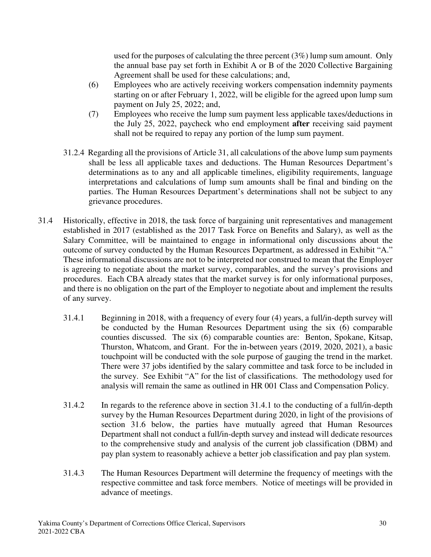used for the purposes of calculating the three percent (3%) lump sum amount. Only the annual base pay set forth in Exhibit A or B of the 2020 Collective Bargaining Agreement shall be used for these calculations; and,

- (6) Employees who are actively receiving workers compensation indemnity payments starting on or after February 1, 2022, will be eligible for the agreed upon lump sum payment on July 25, 2022; and,
- (7) Employees who receive the lump sum payment less applicable taxes/deductions in the July 25, 2022, paycheck who end employment **after** receiving said payment shall not be required to repay any portion of the lump sum payment.
- 31.2.4 Regarding all the provisions of Article 31, all calculations of the above lump sum payments shall be less all applicable taxes and deductions. The Human Resources Department's determinations as to any and all applicable timelines, eligibility requirements, language interpretations and calculations of lump sum amounts shall be final and binding on the parties. The Human Resources Department's determinations shall not be subject to any grievance procedures.
- 31.4 Historically, effective in 2018, the task force of bargaining unit representatives and management established in 2017 (established as the 2017 Task Force on Benefits and Salary), as well as the Salary Committee, will be maintained to engage in informational only discussions about the outcome of survey conducted by the Human Resources Department, as addressed in Exhibit "A." These informational discussions are not to be interpreted nor construed to mean that the Employer is agreeing to negotiate about the market survey, comparables, and the survey's provisions and procedures. Each CBA already states that the market survey is for only informational purposes, and there is no obligation on the part of the Employer to negotiate about and implement the results of any survey.
	- 31.4.1 Beginning in 2018, with a frequency of every four (4) years, a full/in-depth survey will be conducted by the Human Resources Department using the six (6) comparable counties discussed. The six (6) comparable counties are: Benton, Spokane, Kitsap, Thurston, Whatcom, and Grant. For the in-between years (2019, 2020, 2021), a basic touchpoint will be conducted with the sole purpose of gauging the trend in the market. There were 37 jobs identified by the salary committee and task force to be included in the survey. See Exhibit "A" for the list of classifications. The methodology used for analysis will remain the same as outlined in HR 001 Class and Compensation Policy.
	- 31.4.2 In regards to the reference above in section 31.4.1 to the conducting of a full/in-depth survey by the Human Resources Department during 2020, in light of the provisions of section 31.6 below, the parties have mutually agreed that Human Resources Department shall not conduct a full/in-depth survey and instead will dedicate resources to the comprehensive study and analysis of the current job classification (DBM) and pay plan system to reasonably achieve a better job classification and pay plan system.
	- 31.4.3 The Human Resources Department will determine the frequency of meetings with the respective committee and task force members. Notice of meetings will be provided in advance of meetings.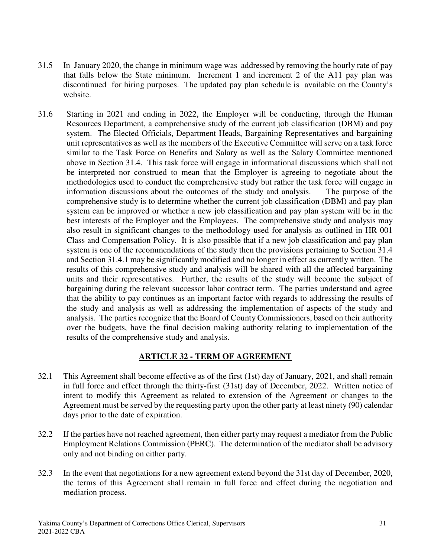- 31.5 In January 2020, the change in minimum wage was addressed by removing the hourly rate of pay that falls below the State minimum. Increment 1 and increment 2 of the A11 pay plan was discontinued for hiring purposes. The updated pay plan schedule is available on the County's website.
- 31.6 Starting in 2021 and ending in 2022, the Employer will be conducting, through the Human Resources Department, a comprehensive study of the current job classification (DBM) and pay system. The Elected Officials, Department Heads, Bargaining Representatives and bargaining unit representatives as well as the members of the Executive Committee will serve on a task force similar to the Task Force on Benefits and Salary as well as the Salary Committee mentioned above in Section 31.4. This task force will engage in informational discussions which shall not be interpreted nor construed to mean that the Employer is agreeing to negotiate about the methodologies used to conduct the comprehensive study but rather the task force will engage in information discussions about the outcomes of the study and analysis. The purpose of the comprehensive study is to determine whether the current job classification (DBM) and pay plan system can be improved or whether a new job classification and pay plan system will be in the best interests of the Employer and the Employees. The comprehensive study and analysis may also result in significant changes to the methodology used for analysis as outlined in HR 001 Class and Compensation Policy. It is also possible that if a new job classification and pay plan system is one of the recommendations of the study then the provisions pertaining to Section 31.4 and Section 31.4.1 may be significantly modified and no longer in effect as currently written. The results of this comprehensive study and analysis will be shared with all the affected bargaining units and their representatives. Further, the results of the study will become the subject of bargaining during the relevant successor labor contract term. The parties understand and agree that the ability to pay continues as an important factor with regards to addressing the results of the study and analysis as well as addressing the implementation of aspects of the study and analysis. The parties recognize that the Board of County Commissioners, based on their authority over the budgets, have the final decision making authority relating to implementation of the results of the comprehensive study and analysis.

## **ARTICLE 32 - TERM OF AGREEMENT**

- 32.1 This Agreement shall become effective as of the first (1st) day of January, 2021, and shall remain in full force and effect through the thirty-first (31st) day of December, 2022. Written notice of intent to modify this Agreement as related to extension of the Agreement or changes to the Agreement must be served by the requesting party upon the other party at least ninety (90) calendar days prior to the date of expiration.
- 32.2 If the parties have not reached agreement, then either party may request a mediator from the Public Employment Relations Commission (PERC). The determination of the mediator shall be advisory only and not binding on either party.
- 32.3 In the event that negotiations for a new agreement extend beyond the 31st day of December, 2020, the terms of this Agreement shall remain in full force and effect during the negotiation and mediation process.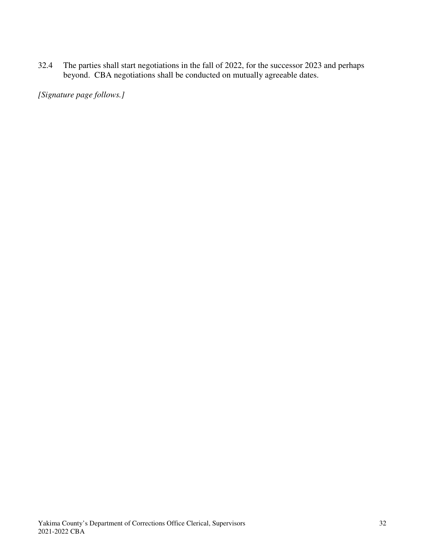32.4 The parties shall start negotiations in the fall of 2022, for the successor 2023 and perhaps beyond. CBA negotiations shall be conducted on mutually agreeable dates.

*[Signature page follows.]*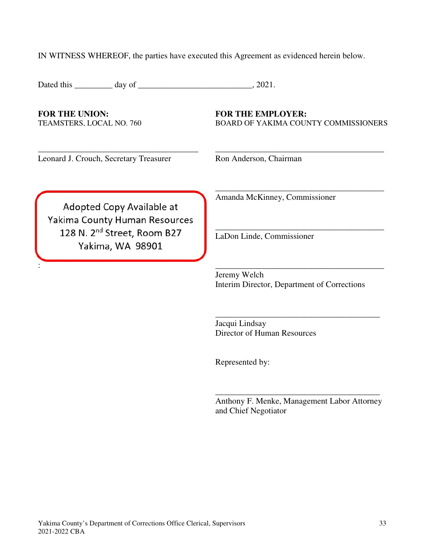IN WITNESS WHEREOF, the parties have executed this Agreement as evidenced herein below.

\_\_\_\_\_\_\_\_\_\_\_\_\_\_\_\_\_\_\_\_\_\_\_\_\_\_\_\_\_\_\_\_\_\_\_\_\_\_ \_\_\_\_\_\_\_\_\_\_\_\_\_\_\_\_\_\_\_\_\_\_\_\_\_\_\_\_\_\_\_\_\_\_\_\_\_\_\_\_

:  $\overline{\phantom{a}}$  ,  $\overline{\phantom{a}}$  ,  $\overline{\phantom{a}}$  ,  $\overline{\phantom{a}}$  ,  $\overline{\phantom{a}}$  ,  $\overline{\phantom{a}}$  ,  $\overline{\phantom{a}}$  ,  $\overline{\phantom{a}}$  ,  $\overline{\phantom{a}}$  ,  $\overline{\phantom{a}}$  ,  $\overline{\phantom{a}}$  ,  $\overline{\phantom{a}}$  ,  $\overline{\phantom{a}}$  ,  $\overline{\phantom{a}}$  ,  $\overline{\phantom{a}}$  ,  $\overline{\phantom{a$ 

Dated this \_\_\_\_\_\_\_\_\_ day of \_\_\_\_\_\_\_\_\_\_\_\_\_\_\_\_\_\_\_\_\_\_\_\_\_\_\_, 2021.

FOR THE UNION: **FOR THE EMPLOYER:** 

TEAMSTERS, LOCAL NO. 760 BOARD OF YAKIMA COUNTY COMMISSIONERS

\_\_\_\_\_\_\_\_\_\_\_\_\_\_\_\_\_\_\_\_\_\_\_\_\_\_\_\_\_\_\_\_\_\_\_\_\_\_\_\_

\_\_\_\_\_\_\_\_\_\_\_\_\_\_\_\_\_\_\_\_\_\_\_\_\_\_\_\_\_\_\_\_\_\_\_\_\_\_\_\_

Leonard J. Crouch, Secretary Treasurer Ron Anderson, Chairman

Adopted Copy Available at Yakima County Human Resources 128 N. 2<sup>nd</sup> Street, Room B27 Yakima, WA 98901

Amanda McKinney, Commissioner

LaDon Linde, Commissioner

Jeremy Welch Interim Director, Department of Corrections

\_\_\_\_\_\_\_\_\_\_\_\_\_\_\_\_\_\_\_\_\_\_\_\_\_\_\_\_\_\_\_\_\_\_\_\_\_\_\_

Jacqui Lindsay Director of Human Resources

Represented by:

Anthony F. Menke, Management Labor Attorney and Chief Negotiator

\_\_\_\_\_\_\_\_\_\_\_\_\_\_\_\_\_\_\_\_\_\_\_\_\_\_\_\_\_\_\_\_\_\_\_\_\_\_\_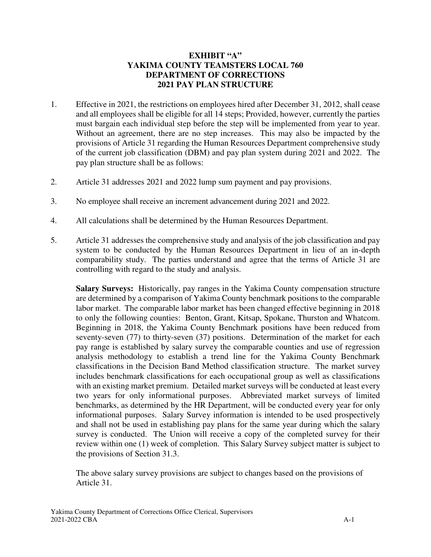#### **EXHIBIT "A" YAKIMA COUNTY TEAMSTERS LOCAL 760 DEPARTMENT OF CORRECTIONS 2021 PAY PLAN STRUCTURE**

- 1. Effective in 2021, the restrictions on employees hired after December 31, 2012, shall cease and all employees shall be eligible for all 14 steps; Provided, however, currently the parties must bargain each individual step before the step will be implemented from year to year. Without an agreement, there are no step increases. This may also be impacted by the provisions of Article 31 regarding the Human Resources Department comprehensive study of the current job classification (DBM) and pay plan system during 2021 and 2022. The pay plan structure shall be as follows:
- 2. Article 31 addresses 2021 and 2022 lump sum payment and pay provisions.
- 3. No employee shall receive an increment advancement during 2021 and 2022.
- 4. All calculations shall be determined by the Human Resources Department.
- 5. Article 31 addresses the comprehensive study and analysis of the job classification and pay system to be conducted by the Human Resources Department in lieu of an in-depth comparability study. The parties understand and agree that the terms of Article 31 are controlling with regard to the study and analysis.

**Salary Surveys:** Historically, pay ranges in the Yakima County compensation structure are determined by a comparison of Yakima County benchmark positions to the comparable labor market. The comparable labor market has been changed effective beginning in 2018 to only the following counties: Benton, Grant, Kitsap, Spokane, Thurston and Whatcom. Beginning in 2018, the Yakima County Benchmark positions have been reduced from seventy-seven (77) to thirty-seven (37) positions. Determination of the market for each pay range is established by salary survey the comparable counties and use of regression analysis methodology to establish a trend line for the Yakima County Benchmark classifications in the Decision Band Method classification structure. The market survey includes benchmark classifications for each occupational group as well as classifications with an existing market premium. Detailed market surveys will be conducted at least every two years for only informational purposes. Abbreviated market surveys of limited benchmarks, as determined by the HR Department, will be conducted every year for only informational purposes. Salary Survey information is intended to be used prospectively and shall not be used in establishing pay plans for the same year during which the salary survey is conducted. The Union will receive a copy of the completed survey for their review within one (1) week of completion. This Salary Survey subject matter is subject to the provisions of Section 31.3.

The above salary survey provisions are subject to changes based on the provisions of Article 31.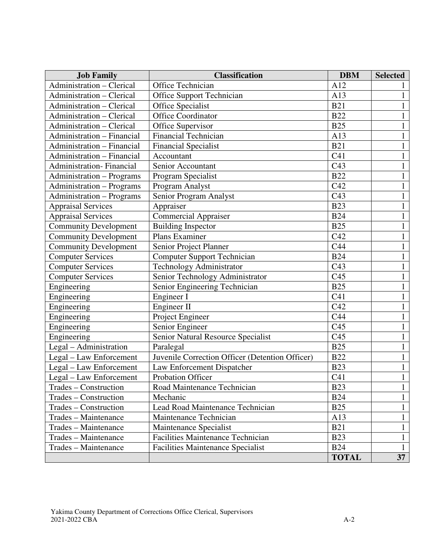| <b>Job Family</b>                 | <b>Classification</b>                           | <b>DBM</b>      | <b>Selected</b> |
|-----------------------------------|-------------------------------------------------|-----------------|-----------------|
| Administration - Clerical         | Office Technician                               | A12             |                 |
| Administration - Clerical         | <b>Office Support Technician</b>                | A13             |                 |
| Administration - Clerical         | Office Specialist                               | <b>B21</b>      |                 |
| Administration - Clerical         | Office Coordinator                              | <b>B22</b>      |                 |
| Administration - Clerical         | Office Supervisor                               | <b>B25</b>      | 1               |
| Administration - Financial        | <b>Financial Technician</b>                     | A13             | $\mathbf{1}$    |
| <b>Administration - Financial</b> | <b>Financial Specialist</b>                     | <b>B21</b>      |                 |
| <b>Administration - Financial</b> | Accountant                                      | C <sub>41</sub> |                 |
| Administration-Financial          | Senior Accountant                               | C43             | 1               |
| <b>Administration - Programs</b>  | Program Specialist                              | <b>B22</b>      | 1               |
| Administration - Programs         | Program Analyst                                 | C42             | 1               |
| <b>Administration - Programs</b>  | Senior Program Analyst                          | C43             |                 |
| <b>Appraisal Services</b>         | Appraiser                                       | <b>B23</b>      |                 |
| Appraisal Services                | <b>Commercial Appraiser</b>                     | <b>B24</b>      |                 |
| <b>Community Development</b>      | <b>Building Inspector</b>                       | <b>B25</b>      |                 |
| <b>Community Development</b>      | Plans Examiner                                  | C42             | $\mathbf{1}$    |
| <b>Community Development</b>      | Senior Project Planner                          | C44             |                 |
| <b>Computer Services</b>          | <b>Computer Support Technician</b>              | <b>B24</b>      | $\mathbf{1}$    |
| <b>Computer Services</b>          | <b>Technology Administrator</b>                 | C <sub>43</sub> | $\mathbf{1}$    |
| <b>Computer Services</b>          | Senior Technology Administrator                 | C <sub>45</sub> | $\mathbf{1}$    |
| Engineering                       | Senior Engineering Technician                   | <b>B25</b>      | $\mathbf{1}$    |
| Engineering                       | Engineer I                                      | C <sub>41</sub> | $\mathbf{1}$    |
| Engineering                       | Engineer II                                     | C42             | $\mathbf{1}$    |
| Engineering                       | Project Engineer                                | C44             | $\mathbf{1}$    |
| Engineering                       | Senior Engineer                                 | C <sub>45</sub> |                 |
| Engineering                       | Senior Natural Resource Specialist              | C <sub>45</sub> |                 |
| Legal - Administration            | Paralegal                                       | <b>B25</b>      | 1               |
| Legal - Law Enforcement           | Juvenile Correction Officer (Detention Officer) | <b>B22</b>      |                 |
| Legal - Law Enforcement           | Law Enforcement Dispatcher                      | <b>B23</b>      |                 |
| Legal - Law Enforcement           | Probation Officer                               | C <sub>41</sub> |                 |
| Trades - Construction             | Road Maintenance Technician                     | <b>B23</b>      | $\mathbf{I}$    |
| Trades – Construction             | Mechanic                                        | <b>B24</b>      | 1               |
| Trades – Construction             | Lead Road Maintenance Technician                | <b>B25</b>      | $\mathbf{1}$    |
| Trades – Maintenance              | Maintenance Technician                          | A13             |                 |
| Trades - Maintenance              | Maintenance Specialist                          | <b>B21</b>      | $\mathbf{1}$    |
| Trades - Maintenance              | <b>Facilities Maintenance Technician</b>        | <b>B23</b>      | $\mathbf{1}$    |
| Trades - Maintenance              | <b>Facilities Maintenance Specialist</b>        | <b>B24</b>      | $\mathbf{1}$    |
|                                   |                                                 | <b>TOTAL</b>    | 37              |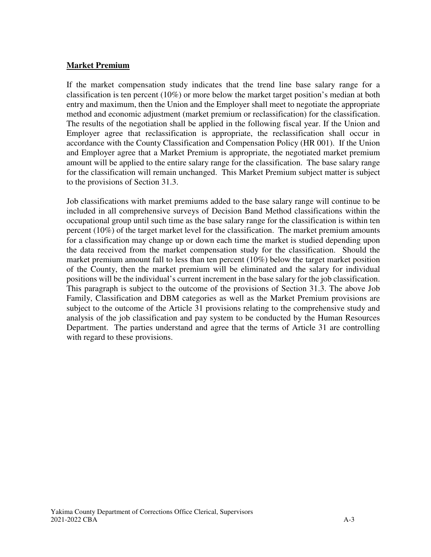#### **Market Premium**

If the market compensation study indicates that the trend line base salary range for a classification is ten percent (10%) or more below the market target position's median at both entry and maximum, then the Union and the Employer shall meet to negotiate the appropriate method and economic adjustment (market premium or reclassification) for the classification. The results of the negotiation shall be applied in the following fiscal year. If the Union and Employer agree that reclassification is appropriate, the reclassification shall occur in accordance with the County Classification and Compensation Policy (HR 001). If the Union and Employer agree that a Market Premium is appropriate, the negotiated market premium amount will be applied to the entire salary range for the classification. The base salary range for the classification will remain unchanged. This Market Premium subject matter is subject to the provisions of Section 31.3.

Job classifications with market premiums added to the base salary range will continue to be included in all comprehensive surveys of Decision Band Method classifications within the occupational group until such time as the base salary range for the classification is within ten percent (10%) of the target market level for the classification. The market premium amounts for a classification may change up or down each time the market is studied depending upon the data received from the market compensation study for the classification. Should the market premium amount fall to less than ten percent (10%) below the target market position of the County, then the market premium will be eliminated and the salary for individual positions will be the individual's current increment in the base salary for the job classification. This paragraph is subject to the outcome of the provisions of Section 31.3. The above Job Family, Classification and DBM categories as well as the Market Premium provisions are subject to the outcome of the Article 31 provisions relating to the comprehensive study and analysis of the job classification and pay system to be conducted by the Human Resources Department. The parties understand and agree that the terms of Article 31 are controlling with regard to these provisions.